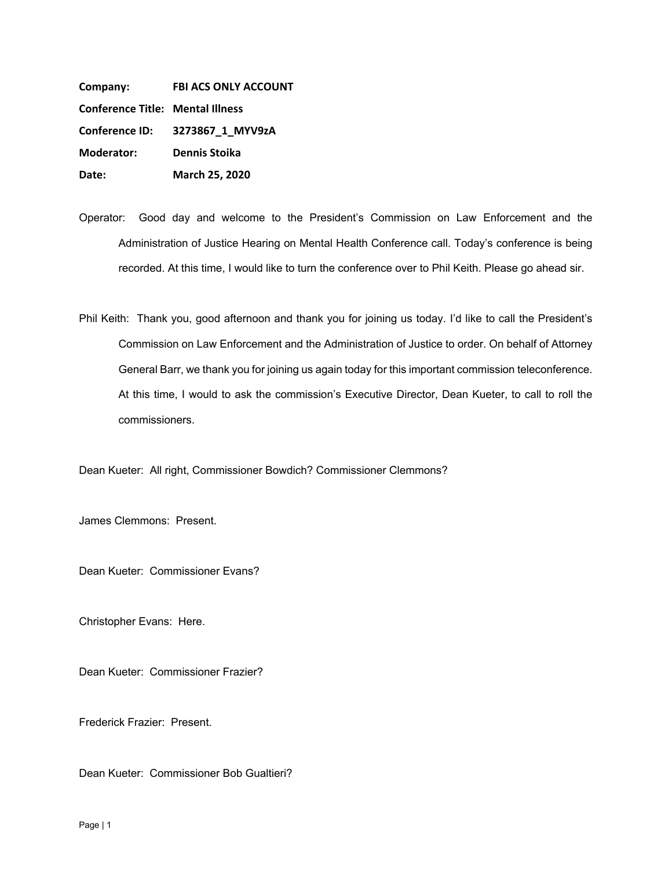**Company: FBI ACS ONLY ACCOUNT Conference Title: Mental Illness Conference ID: Moderator: Dennis Stoika Date: March 25, 2020 Conference ID: 3273867\_1\_MYV9zA**

Operator: Good day and welcome to the President's Commission on Law Enforcement and the Administration of Justice Hearing on Mental Health Conference call. Today's conference is being recorded. At this time, I would like to turn the conference over to Phil Keith. Please go ahead sir.

Phil Keith: Thank you, good afternoon and thank you for joining us today. I'd like to call the President's Commission on Law Enforcement and the Administration of Justice to order. On behalf of Attorney General Barr, we thank you for joining us again today for this important commission teleconference. At this time, I would to ask the commission's Executive Director, Dean Kueter, to call to roll the commissioners.

Dean Kueter: All right, Commissioner Bowdich? Commissioner Clemmons?

James Clemmons: Present.

Dean Kueter: Commissioner Evans?

Christopher Evans: Here.

Dean Kueter: Commissioner Frazier?

Frederick Frazier: Present.

Dean Kueter: Commissioner Bob Gualtieri?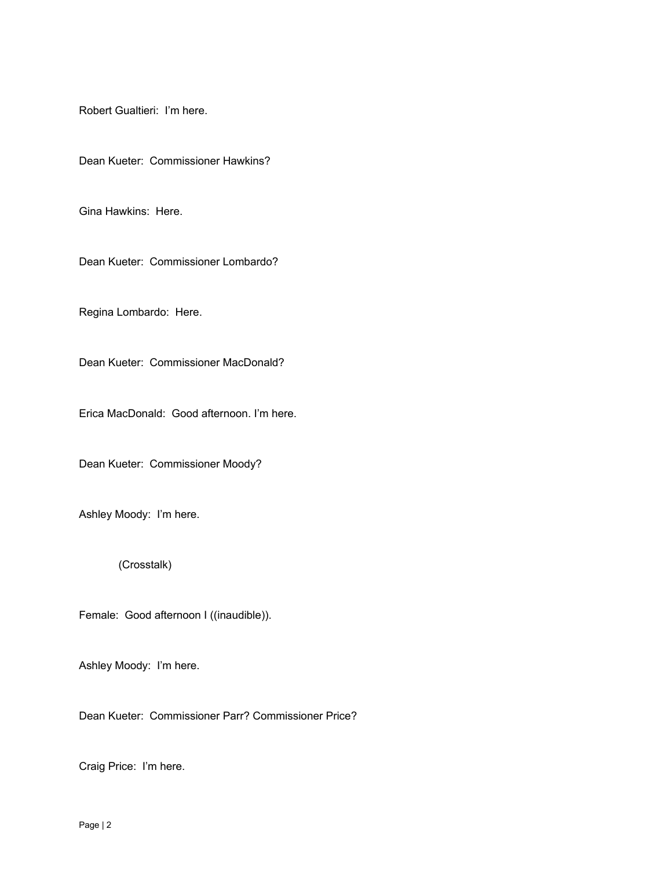Robert Gualtieri: I'm here.

Dean Kueter: Commissioner Hawkins?

Gina Hawkins: Here.

Dean Kueter: Commissioner Lombardo?

Regina Lombardo: Here.

Dean Kueter: Commissioner MacDonald?

Erica MacDonald: Good afternoon. I'm here.

Dean Kueter: Commissioner Moody?

Ashley Moody: I'm here.

(Crosstalk)

Female: Good afternoon I ((inaudible)).

Ashley Moody: I'm here.

Dean Kueter: Commissioner Parr? Commissioner Price?

Craig Price: I'm here.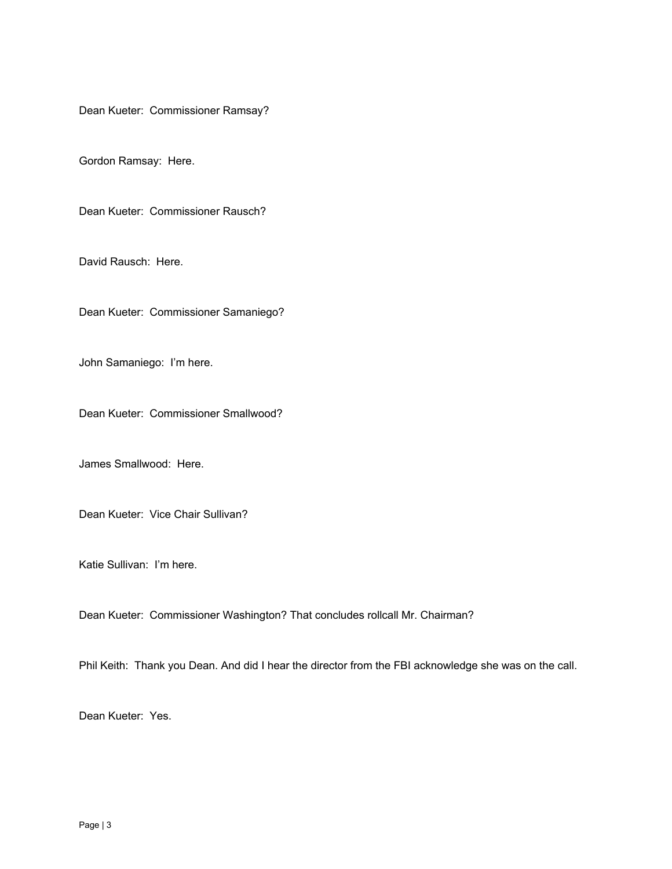Dean Kueter: Commissioner Ramsay?

Gordon Ramsay: Here.

Dean Kueter: Commissioner Rausch?

David Rausch: Here.

Dean Kueter: Commissioner Samaniego?

John Samaniego: I'm here.

Dean Kueter: Commissioner Smallwood?

James Smallwood: Here.

Dean Kueter: Vice Chair Sullivan?

Katie Sullivan: I'm here.

Dean Kueter: Commissioner Washington? That concludes rollcall Mr. Chairman?

Phil Keith: Thank you Dean. And did I hear the director from the FBI acknowledge she was on the call.

Dean Kueter: Yes.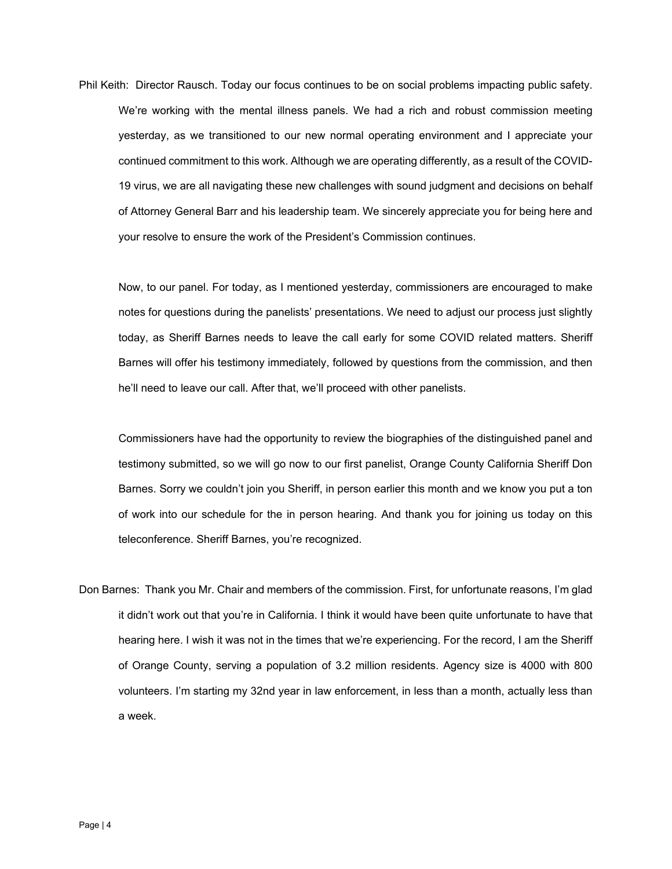Phil Keith: Director Rausch. Today our focus continues to be on social problems impacting public safety. We're working with the mental illness panels. We had a rich and robust commission meeting yesterday, as we transitioned to our new normal operating environment and I appreciate your continued commitment to this work. Although we are operating differently, as a result of the COVID-19 virus, we are all navigating these new challenges with sound judgment and decisions on behalf of Attorney General Barr and his leadership team. We sincerely appreciate you for being here and your resolve to ensure the work of the President's Commission continues.

Now, to our panel. For today, as I mentioned yesterday, commissioners are encouraged to make notes for questions during the panelists' presentations. We need to adjust our process just slightly today, as Sheriff Barnes needs to leave the call early for some COVID related matters. Sheriff Barnes will offer his testimony immediately, followed by questions from the commission, and then he'll need to leave our call. After that, we'll proceed with other panelists.

Commissioners have had the opportunity to review the biographies of the distinguished panel and testimony submitted, so we will go now to our first panelist, Orange County California Sheriff Don Barnes. Sorry we couldn't join you Sheriff, in person earlier this month and we know you put a ton of work into our schedule for the in person hearing. And thank you for joining us today on this teleconference. Sheriff Barnes, you're recognized.

Don Barnes: Thank you Mr. Chair and members of the commission. First, for unfortunate reasons, I'm glad it didn't work out that you're in California. I think it would have been quite unfortunate to have that hearing here. I wish it was not in the times that we're experiencing. For the record, I am the Sheriff of Orange County, serving a population of 3.2 million residents. Agency size is 4000 with 800 volunteers. I'm starting my 32nd year in law enforcement, in less than a month, actually less than a week.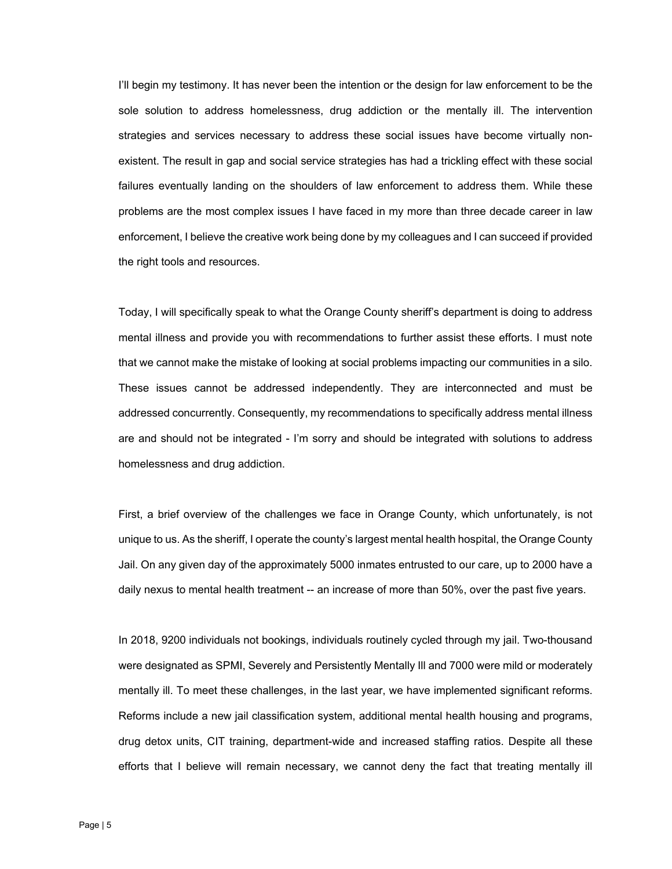I'll begin my testimony. It has never been the intention or the design for law enforcement to be the sole solution to address homelessness, drug addiction or the mentally ill. The intervention strategies and services necessary to address these social issues have become virtually nonexistent. The result in gap and social service strategies has had a trickling effect with these social failures eventually landing on the shoulders of law enforcement to address them. While these problems are the most complex issues I have faced in my more than three decade career in law enforcement, I believe the creative work being done by my colleagues and I can succeed if provided the right tools and resources.

Today, I will specifically speak to what the Orange County sheriff's department is doing to address mental illness and provide you with recommendations to further assist these efforts. I must note that we cannot make the mistake of looking at social problems impacting our communities in a silo. These issues cannot be addressed independently. They are interconnected and must be addressed concurrently. Consequently, my recommendations to specifically address mental illness are and should not be integrated - I'm sorry and should be integrated with solutions to address homelessness and drug addiction.

First, a brief overview of the challenges we face in Orange County, which unfortunately, is not unique to us. As the sheriff, I operate the county's largest mental health hospital, the Orange County Jail. On any given day of the approximately 5000 inmates entrusted to our care, up to 2000 have a daily nexus to mental health treatment -- an increase of more than 50%, over the past five years.

In 2018, 9200 individuals not bookings, individuals routinely cycled through my jail. Two-thousand were designated as SPMI, Severely and Persistently Mentally Ill and 7000 were mild or moderately mentally ill. To meet these challenges, in the last year, we have implemented significant reforms. Reforms include a new jail classification system, additional mental health housing and programs, drug detox units, CIT training, department-wide and increased staffing ratios. Despite all these efforts that I believe will remain necessary, we cannot deny the fact that treating mentally ill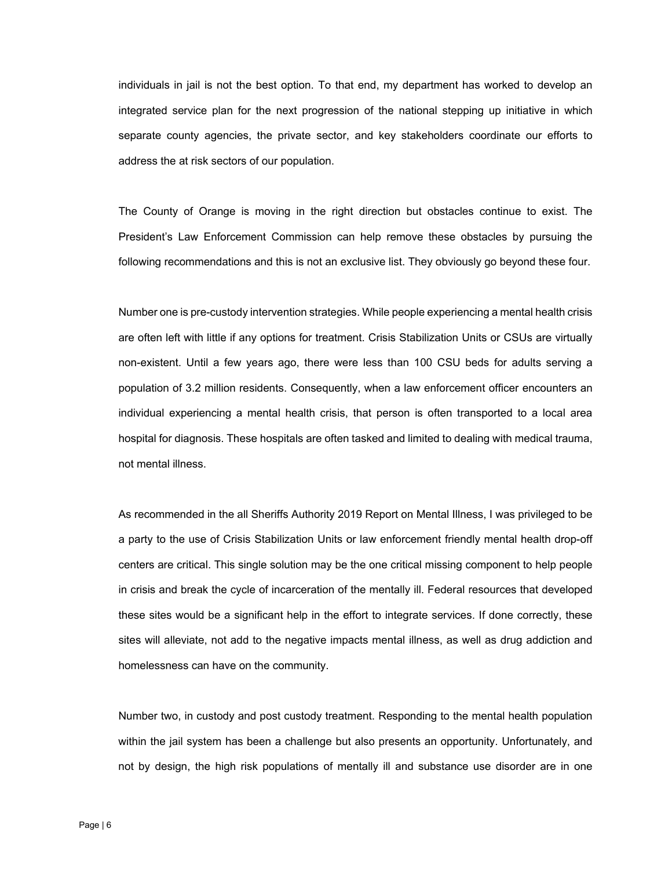individuals in jail is not the best option. To that end, my department has worked to develop an integrated service plan for the next progression of the national stepping up initiative in which separate county agencies, the private sector, and key stakeholders coordinate our efforts to address the at risk sectors of our population.

The County of Orange is moving in the right direction but obstacles continue to exist. The President's Law Enforcement Commission can help remove these obstacles by pursuing the following recommendations and this is not an exclusive list. They obviously go beyond these four.

Number one is pre-custody intervention strategies. While people experiencing a mental health crisis are often left with little if any options for treatment. Crisis Stabilization Units or CSUs are virtually non-existent. Until a few years ago, there were less than 100 CSU beds for adults serving a population of 3.2 million residents. Consequently, when a law enforcement officer encounters an individual experiencing a mental health crisis, that person is often transported to a local area hospital for diagnosis. These hospitals are often tasked and limited to dealing with medical trauma, not mental illness.

As recommended in the all Sheriffs Authority 2019 Report on Mental Illness, I was privileged to be a party to the use of Crisis Stabilization Units or law enforcement friendly mental health drop-off centers are critical. This single solution may be the one critical missing component to help people in crisis and break the cycle of incarceration of the mentally ill. Federal resources that developed these sites would be a significant help in the effort to integrate services. If done correctly, these sites will alleviate, not add to the negative impacts mental illness, as well as drug addiction and homelessness can have on the community.

Number two, in custody and post custody treatment. Responding to the mental health population within the jail system has been a challenge but also presents an opportunity. Unfortunately, and not by design, the high risk populations of mentally ill and substance use disorder are in one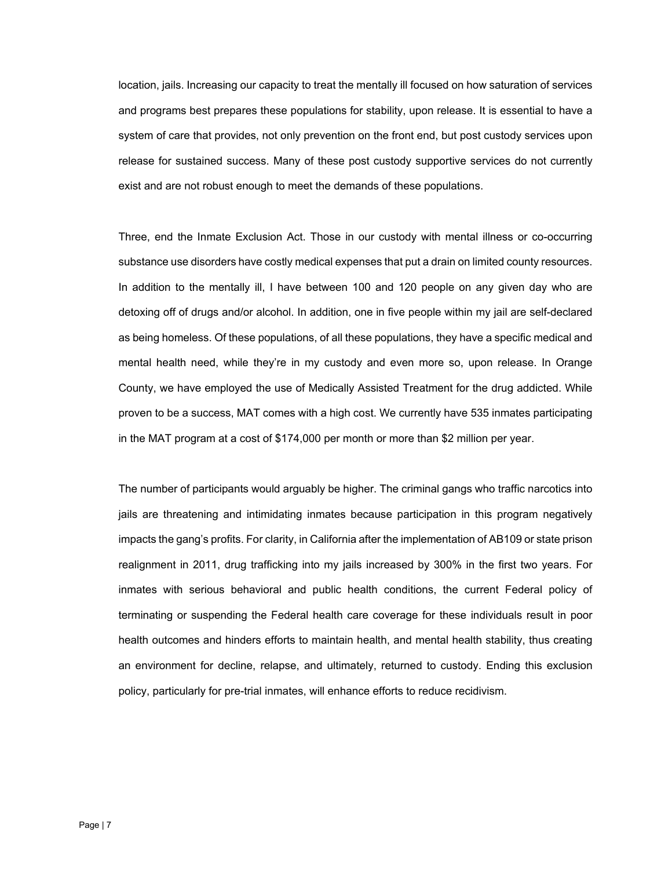location, jails. Increasing our capacity to treat the mentally ill focused on how saturation of services and programs best prepares these populations for stability, upon release. It is essential to have a system of care that provides, not only prevention on the front end, but post custody services upon release for sustained success. Many of these post custody supportive services do not currently exist and are not robust enough to meet the demands of these populations.

Three, end the Inmate Exclusion Act. Those in our custody with mental illness or co-occurring substance use disorders have costly medical expenses that put a drain on limited county resources. In addition to the mentally ill, I have between 100 and 120 people on any given day who are detoxing off of drugs and/or alcohol. In addition, one in five people within my jail are self-declared as being homeless. Of these populations, of all these populations, they have a specific medical and mental health need, while they're in my custody and even more so, upon release. In Orange County, we have employed the use of Medically Assisted Treatment for the drug addicted. While proven to be a success, MAT comes with a high cost. We currently have 535 inmates participating in the MAT program at a cost of \$174,000 per month or more than \$2 million per year.

The number of participants would arguably be higher. The criminal gangs who traffic narcotics into jails are threatening and intimidating inmates because participation in this program negatively impacts the gang's profits. For clarity, in California after the implementation of AB109 or state prison realignment in 2011, drug trafficking into my jails increased by 300% in the first two years. For inmates with serious behavioral and public health conditions, the current Federal policy of terminating or suspending the Federal health care coverage for these individuals result in poor health outcomes and hinders efforts to maintain health, and mental health stability, thus creating an environment for decline, relapse, and ultimately, returned to custody. Ending this exclusion policy, particularly for pre-trial inmates, will enhance efforts to reduce recidivism.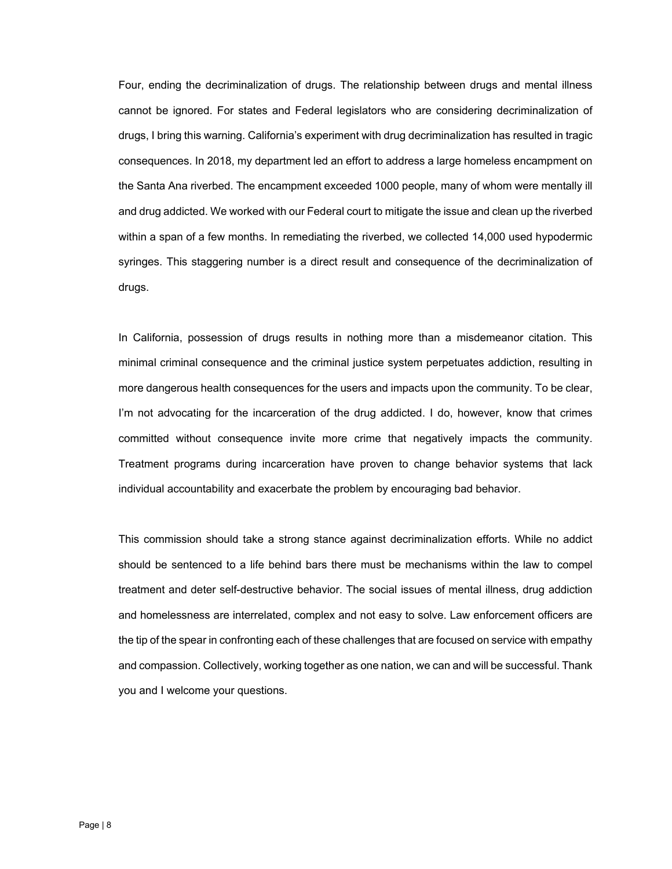Four, ending the decriminalization of drugs. The relationship between drugs and mental illness cannot be ignored. For states and Federal legislators who are considering decriminalization of drugs, I bring this warning. California's experiment with drug decriminalization has resulted in tragic consequences. In 2018, my department led an effort to address a large homeless encampment on the Santa Ana riverbed. The encampment exceeded 1000 people, many of whom were mentally ill and drug addicted. We worked with our Federal court to mitigate the issue and clean up the riverbed within a span of a few months. In remediating the riverbed, we collected 14,000 used hypodermic syringes. This staggering number is a direct result and consequence of the decriminalization of drugs.

In California, possession of drugs results in nothing more than a misdemeanor citation. This minimal criminal consequence and the criminal justice system perpetuates addiction, resulting in more dangerous health consequences for the users and impacts upon the community. To be clear, I'm not advocating for the incarceration of the drug addicted. I do, however, know that crimes committed without consequence invite more crime that negatively impacts the community. Treatment programs during incarceration have proven to change behavior systems that lack individual accountability and exacerbate the problem by encouraging bad behavior.

This commission should take a strong stance against decriminalization efforts. While no addict should be sentenced to a life behind bars there must be mechanisms within the law to compel treatment and deter self-destructive behavior. The social issues of mental illness, drug addiction and homelessness are interrelated, complex and not easy to solve. Law enforcement officers are the tip of the spear in confronting each of these challenges that are focused on service with empathy and compassion. Collectively, working together as one nation, we can and will be successful. Thank you and I welcome your questions.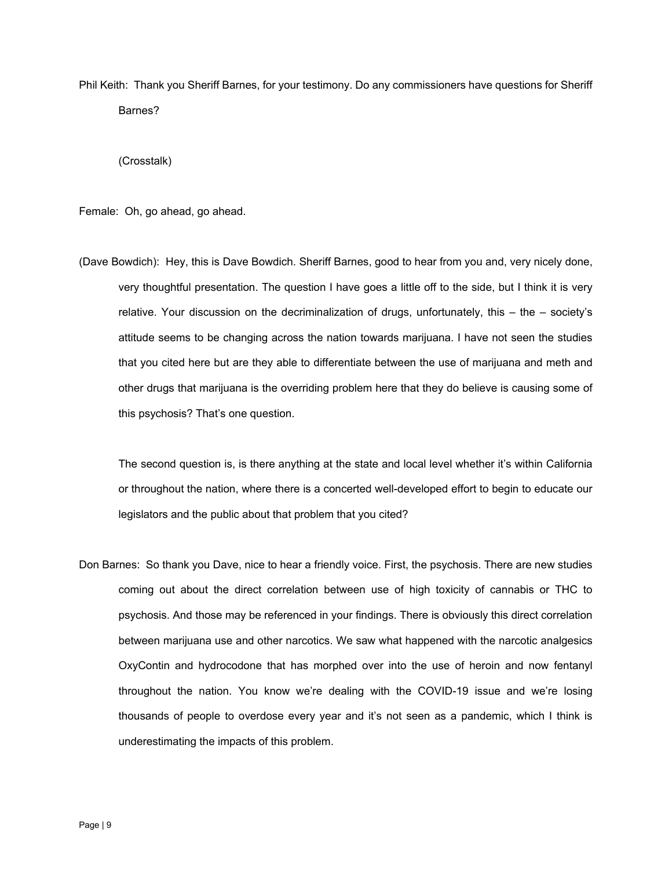Phil Keith: Thank you Sheriff Barnes, for your testimony. Do any commissioners have questions for Sheriff Barnes?

(Crosstalk)

Female: Oh, go ahead, go ahead.

(Dave Bowdich): Hey, this is Dave Bowdich. Sheriff Barnes, good to hear from you and, very nicely done, very thoughtful presentation. The question I have goes a little off to the side, but I think it is very relative. Your discussion on the decriminalization of drugs, unfortunately, this – the – society's attitude seems to be changing across the nation towards marijuana. I have not seen the studies that you cited here but are they able to differentiate between the use of marijuana and meth and other drugs that marijuana is the overriding problem here that they do believe is causing some of this psychosis? That's one question.

The second question is, is there anything at the state and local level whether it's within California or throughout the nation, where there is a concerted well-developed effort to begin to educate our legislators and the public about that problem that you cited?

Don Barnes: So thank you Dave, nice to hear a friendly voice. First, the psychosis. There are new studies coming out about the direct correlation between use of high toxicity of cannabis or THC to psychosis. And those may be referenced in your findings. There is obviously this direct correlation between marijuana use and other narcotics. We saw what happened with the narcotic analgesics OxyContin and hydrocodone that has morphed over into the use of heroin and now fentanyl throughout the nation. You know we're dealing with the COVID-19 issue and we're losing thousands of people to overdose every year and it's not seen as a pandemic, which I think is underestimating the impacts of this problem.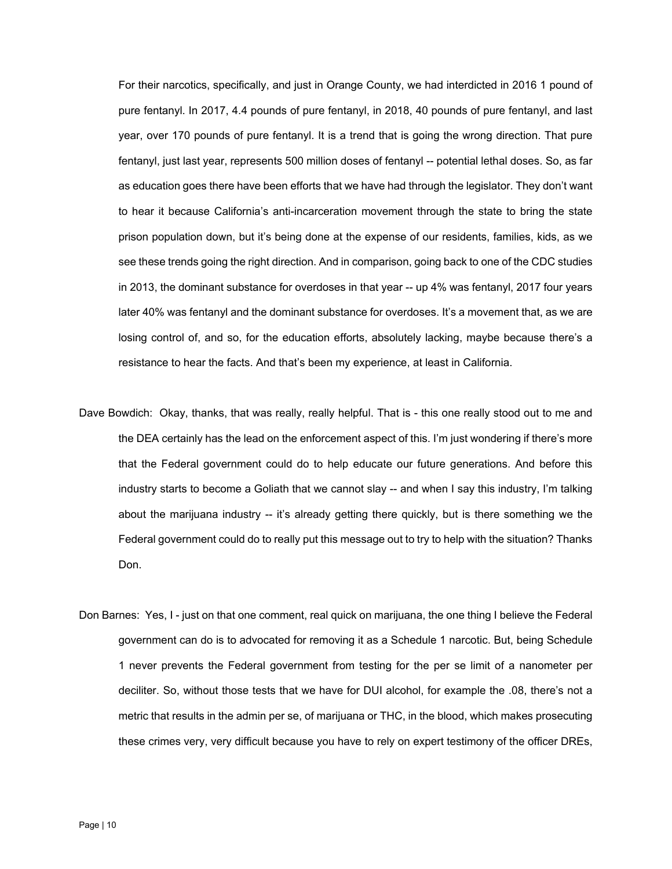For their narcotics, specifically, and just in Orange County, we had interdicted in 2016 1 pound of pure fentanyl. In 2017, 4.4 pounds of pure fentanyl, in 2018, 40 pounds of pure fentanyl, and last year, over 170 pounds of pure fentanyl. It is a trend that is going the wrong direction. That pure fentanyl, just last year, represents 500 million doses of fentanyl -- potential lethal doses. So, as far as education goes there have been efforts that we have had through the legislator. They don't want to hear it because California's anti-incarceration movement through the state to bring the state prison population down, but it's being done at the expense of our residents, families, kids, as we see these trends going the right direction. And in comparison, going back to one of the CDC studies in 2013, the dominant substance for overdoses in that year -- up 4% was fentanyl, 2017 four years later 40% was fentanyl and the dominant substance for overdoses. It's a movement that, as we are losing control of, and so, for the education efforts, absolutely lacking, maybe because there's a resistance to hear the facts. And that's been my experience, at least in California.

- Dave Bowdich: Okay, thanks, that was really, really helpful. That is this one really stood out to me and the DEA certainly has the lead on the enforcement aspect of this. I'm just wondering if there's more that the Federal government could do to help educate our future generations. And before this industry starts to become a Goliath that we cannot slay -- and when I say this industry, I'm talking about the marijuana industry -- it's already getting there quickly, but is there something we the Federal government could do to really put this message out to try to help with the situation? Thanks Don.
- Don Barnes: Yes, I just on that one comment, real quick on marijuana, the one thing I believe the Federal government can do is to advocated for removing it as a Schedule 1 narcotic. But, being Schedule 1 never prevents the Federal government from testing for the per se limit of a nanometer per deciliter. So, without those tests that we have for DUI alcohol, for example the .08, there's not a metric that results in the admin per se, of marijuana or THC, in the blood, which makes prosecuting these crimes very, very difficult because you have to rely on expert testimony of the officer DREs,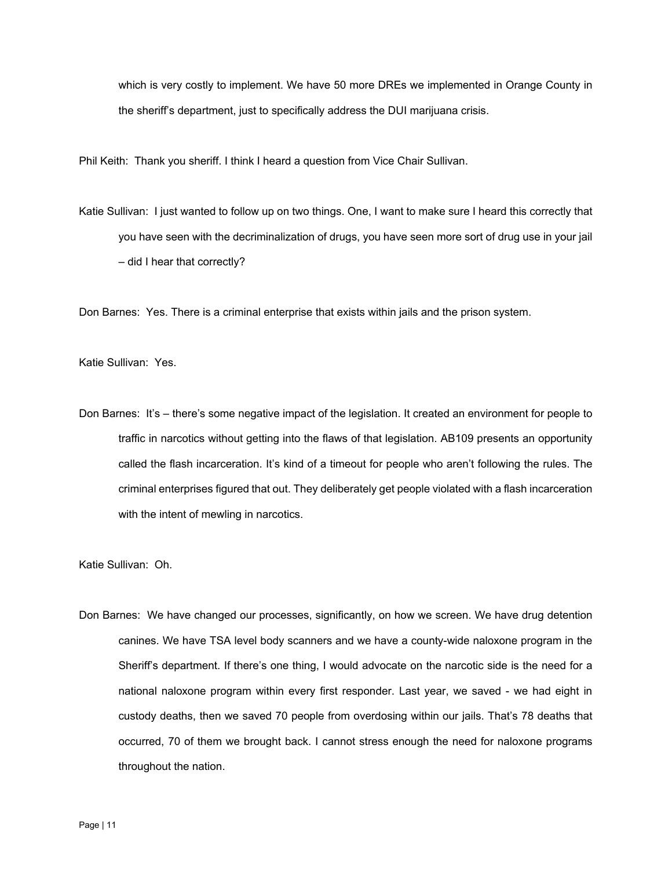which is very costly to implement. We have 50 more DREs we implemented in Orange County in the sheriff's department, just to specifically address the DUI marijuana crisis.

Phil Keith: Thank you sheriff. I think I heard a question from Vice Chair Sullivan.

Katie Sullivan: I just wanted to follow up on two things. One, I want to make sure I heard this correctly that you have seen with the decriminalization of drugs, you have seen more sort of drug use in your jail – did I hear that correctly?

Don Barnes: Yes. There is a criminal enterprise that exists within jails and the prison system.

Katie Sullivan: Yes.

Don Barnes: It's – there's some negative impact of the legislation. It created an environment for people to traffic in narcotics without getting into the flaws of that legislation. AB109 presents an opportunity called the flash incarceration. It's kind of a timeout for people who aren't following the rules. The criminal enterprises figured that out. They deliberately get people violated with a flash incarceration with the intent of mewling in narcotics.

Katie Sullivan: Oh.

Don Barnes: We have changed our processes, significantly, on how we screen. We have drug detention canines. We have TSA level body scanners and we have a county-wide naloxone program in the Sheriff's department. If there's one thing, I would advocate on the narcotic side is the need for a national naloxone program within every first responder. Last year, we saved - we had eight in custody deaths, then we saved 70 people from overdosing within our jails. That's 78 deaths that occurred, 70 of them we brought back. I cannot stress enough the need for naloxone programs throughout the nation.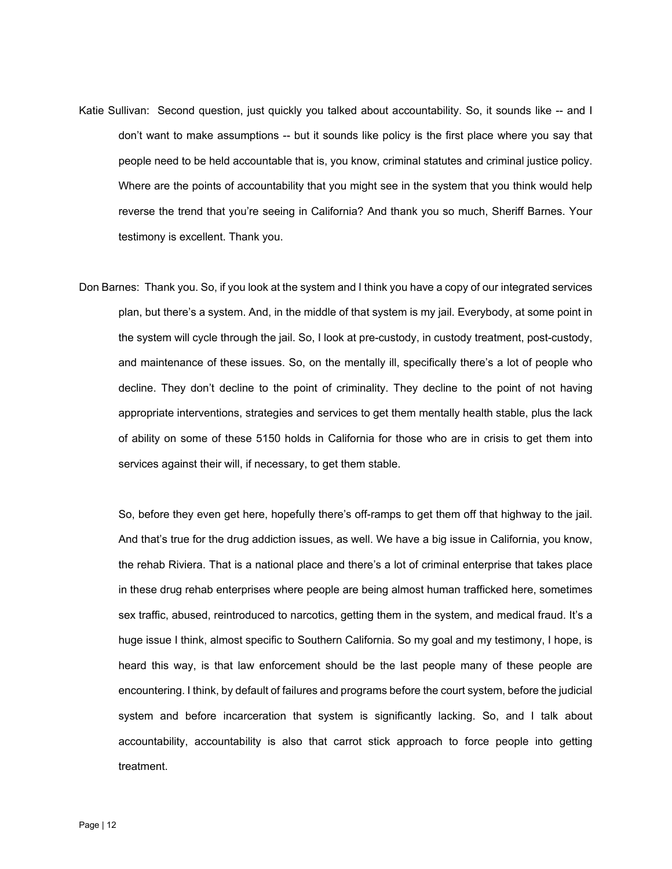- Katie Sullivan: Second question, just quickly you talked about accountability. So, it sounds like -- and I don't want to make assumptions -- but it sounds like policy is the first place where you say that people need to be held accountable that is, you know, criminal statutes and criminal justice policy. Where are the points of accountability that you might see in the system that you think would help reverse the trend that you're seeing in California? And thank you so much, Sheriff Barnes. Your testimony is excellent. Thank you.
- Don Barnes: Thank you. So, if you look at the system and I think you have a copy of our integrated services plan, but there's a system. And, in the middle of that system is my jail. Everybody, at some point in the system will cycle through the jail. So, I look at pre-custody, in custody treatment, post-custody, and maintenance of these issues. So, on the mentally ill, specifically there's a lot of people who decline. They don't decline to the point of criminality. They decline to the point of not having appropriate interventions, strategies and services to get them mentally health stable, plus the lack of ability on some of these 5150 holds in California for those who are in crisis to get them into services against their will, if necessary, to get them stable.

So, before they even get here, hopefully there's off-ramps to get them off that highway to the jail. And that's true for the drug addiction issues, as well. We have a big issue in California, you know, the rehab Riviera. That is a national place and there's a lot of criminal enterprise that takes place in these drug rehab enterprises where people are being almost human trafficked here, sometimes sex traffic, abused, reintroduced to narcotics, getting them in the system, and medical fraud. It's a huge issue I think, almost specific to Southern California. So my goal and my testimony, I hope, is heard this way, is that law enforcement should be the last people many of these people are encountering. I think, by default of failures and programs before the court system, before the judicial system and before incarceration that system is significantly lacking. So, and I talk about accountability, accountability is also that carrot stick approach to force people into getting treatment.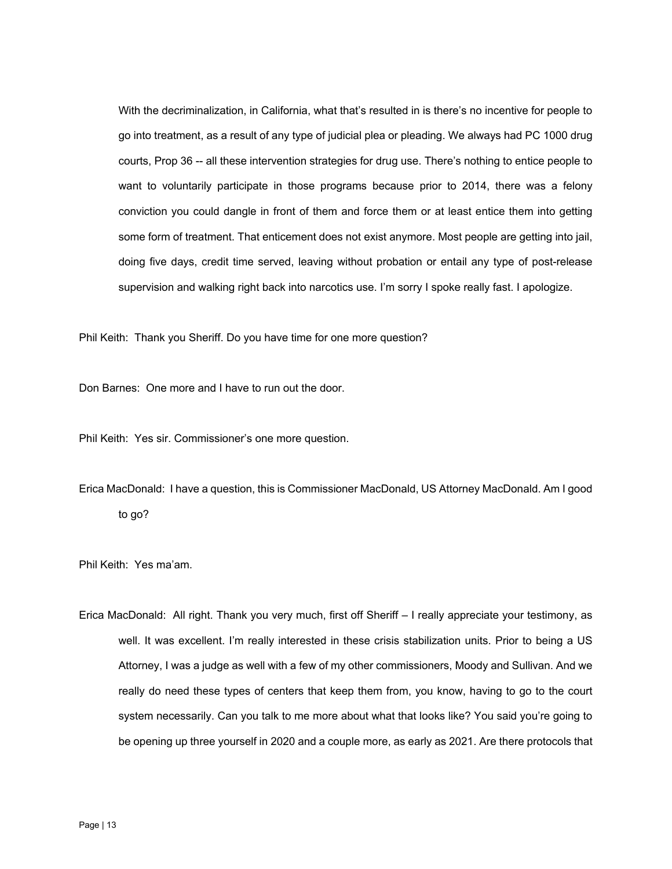With the decriminalization, in California, what that's resulted in is there's no incentive for people to go into treatment, as a result of any type of judicial plea or pleading. We always had PC 1000 drug courts, Prop 36 -- all these intervention strategies for drug use. There's nothing to entice people to want to voluntarily participate in those programs because prior to 2014, there was a felony conviction you could dangle in front of them and force them or at least entice them into getting some form of treatment. That enticement does not exist anymore. Most people are getting into jail, doing five days, credit time served, leaving without probation or entail any type of post-release supervision and walking right back into narcotics use. I'm sorry I spoke really fast. I apologize.

Phil Keith: Thank you Sheriff. Do you have time for one more question?

Don Barnes: One more and I have to run out the door.

Phil Keith: Yes sir. Commissioner's one more question.

Erica MacDonald: I have a question, this is Commissioner MacDonald, US Attorney MacDonald. Am I good to go?

Phil Keith: Yes ma'am.

Erica MacDonald: All right. Thank you very much, first off Sheriff – I really appreciate your testimony, as well. It was excellent. I'm really interested in these crisis stabilization units. Prior to being a US Attorney, I was a judge as well with a few of my other commissioners, Moody and Sullivan. And we really do need these types of centers that keep them from, you know, having to go to the court system necessarily. Can you talk to me more about what that looks like? You said you're going to be opening up three yourself in 2020 and a couple more, as early as 2021. Are there protocols that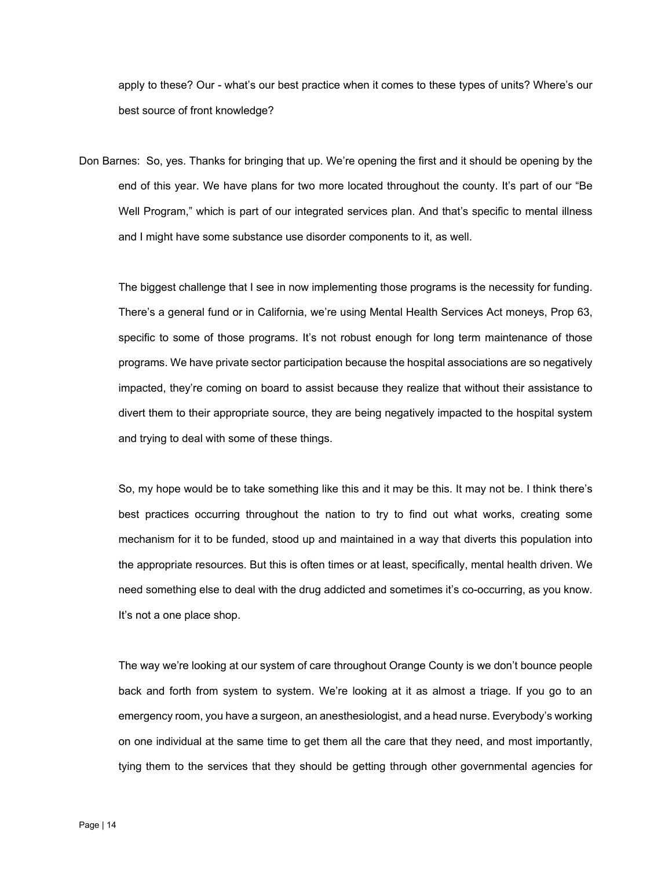apply to these? Our - what's our best practice when it comes to these types of units? Where's our best source of front knowledge?

Don Barnes: So, yes. Thanks for bringing that up. We're opening the first and it should be opening by the end of this year. We have plans for two more located throughout the county. It's part of our "Be Well Program," which is part of our integrated services plan. And that's specific to mental illness and I might have some substance use disorder components to it, as well.

The biggest challenge that I see in now implementing those programs is the necessity for funding. There's a general fund or in California, we're using Mental Health Services Act moneys, Prop 63, specific to some of those programs. It's not robust enough for long term maintenance of those programs. We have private sector participation because the hospital associations are so negatively impacted, they're coming on board to assist because they realize that without their assistance to divert them to their appropriate source, they are being negatively impacted to the hospital system and trying to deal with some of these things.

So, my hope would be to take something like this and it may be this. It may not be. I think there's best practices occurring throughout the nation to try to find out what works, creating some mechanism for it to be funded, stood up and maintained in a way that diverts this population into the appropriate resources. But this is often times or at least, specifically, mental health driven. We need something else to deal with the drug addicted and sometimes it's co-occurring, as you know. It's not a one place shop.

The way we're looking at our system of care throughout Orange County is we don't bounce people back and forth from system to system. We're looking at it as almost a triage. If you go to an emergency room, you have a surgeon, an anesthesiologist, and a head nurse. Everybody's working on one individual at the same time to get them all the care that they need, and most importantly, tying them to the services that they should be getting through other governmental agencies for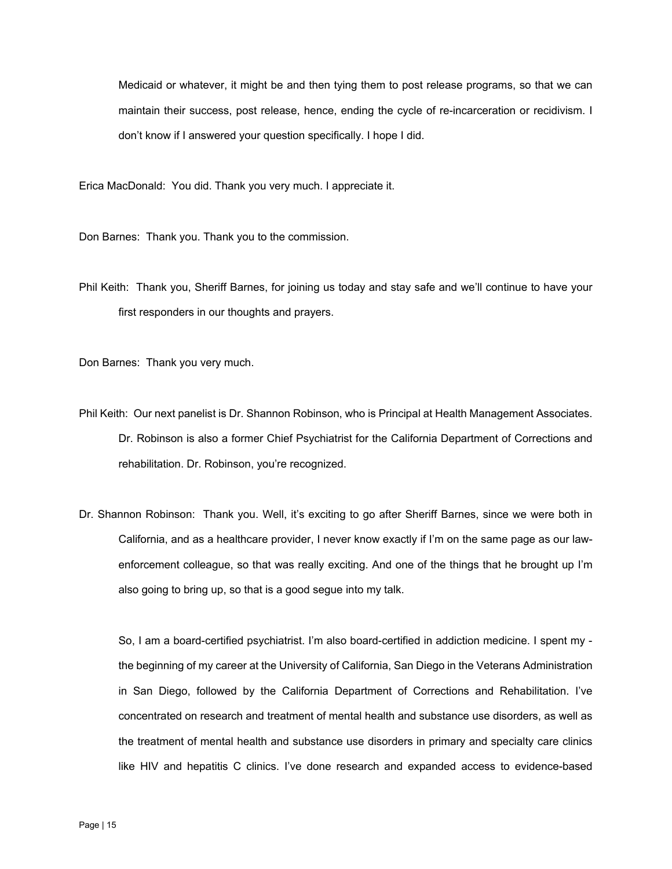Medicaid or whatever, it might be and then tying them to post release programs, so that we can maintain their success, post release, hence, ending the cycle of re-incarceration or recidivism. I don't know if I answered your question specifically. I hope I did.

Erica MacDonald: You did. Thank you very much. I appreciate it.

Don Barnes: Thank you. Thank you to the commission.

Phil Keith: Thank you, Sheriff Barnes, for joining us today and stay safe and we'll continue to have your first responders in our thoughts and prayers.

Don Barnes: Thank you very much.

- Phil Keith: Our next panelist is Dr. Shannon Robinson, who is Principal at Health Management Associates. Dr. Robinson is also a former Chief Psychiatrist for the California Department of Corrections and rehabilitation. Dr. Robinson, you're recognized.
- Dr. Shannon Robinson: Thank you. Well, it's exciting to go after Sheriff Barnes, since we were both in California, and as a healthcare provider, I never know exactly if I'm on the same page as our lawenforcement colleague, so that was really exciting. And one of the things that he brought up I'm also going to bring up, so that is a good segue into my talk.

So, I am a board-certified psychiatrist. I'm also board-certified in addiction medicine. I spent my the beginning of my career at the University of California, San Diego in the Veterans Administration in San Diego, followed by the California Department of Corrections and Rehabilitation. I've concentrated on research and treatment of mental health and substance use disorders, as well as the treatment of mental health and substance use disorders in primary and specialty care clinics like HIV and hepatitis C clinics. I've done research and expanded access to evidence-based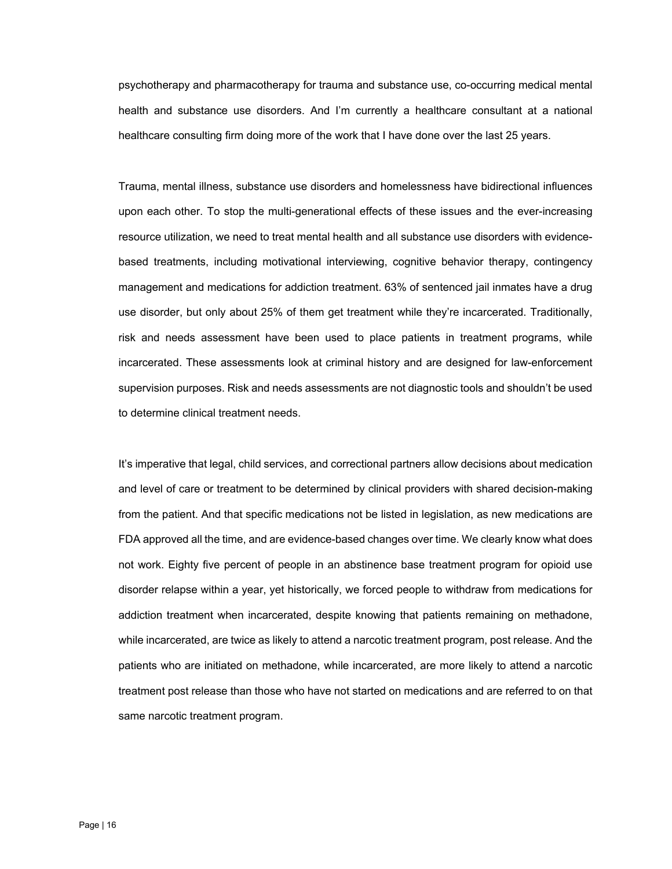psychotherapy and pharmacotherapy for trauma and substance use, co-occurring medical mental health and substance use disorders. And I'm currently a healthcare consultant at a national healthcare consulting firm doing more of the work that I have done over the last 25 years.

Trauma, mental illness, substance use disorders and homelessness have bidirectional influences upon each other. To stop the multi-generational effects of these issues and the ever-increasing resource utilization, we need to treat mental health and all substance use disorders with evidencebased treatments, including motivational interviewing, cognitive behavior therapy, contingency management and medications for addiction treatment. 63% of sentenced jail inmates have a drug use disorder, but only about 25% of them get treatment while they're incarcerated. Traditionally, risk and needs assessment have been used to place patients in treatment programs, while incarcerated. These assessments look at criminal history and are designed for law-enforcement supervision purposes. Risk and needs assessments are not diagnostic tools and shouldn't be used to determine clinical treatment needs.

It's imperative that legal, child services, and correctional partners allow decisions about medication and level of care or treatment to be determined by clinical providers with shared decision-making from the patient. And that specific medications not be listed in legislation, as new medications are FDA approved all the time, and are evidence-based changes over time. We clearly know what does not work. Eighty five percent of people in an abstinence base treatment program for opioid use disorder relapse within a year, yet historically, we forced people to withdraw from medications for addiction treatment when incarcerated, despite knowing that patients remaining on methadone, while incarcerated, are twice as likely to attend a narcotic treatment program, post release. And the patients who are initiated on methadone, while incarcerated, are more likely to attend a narcotic treatment post release than those who have not started on medications and are referred to on that same narcotic treatment program.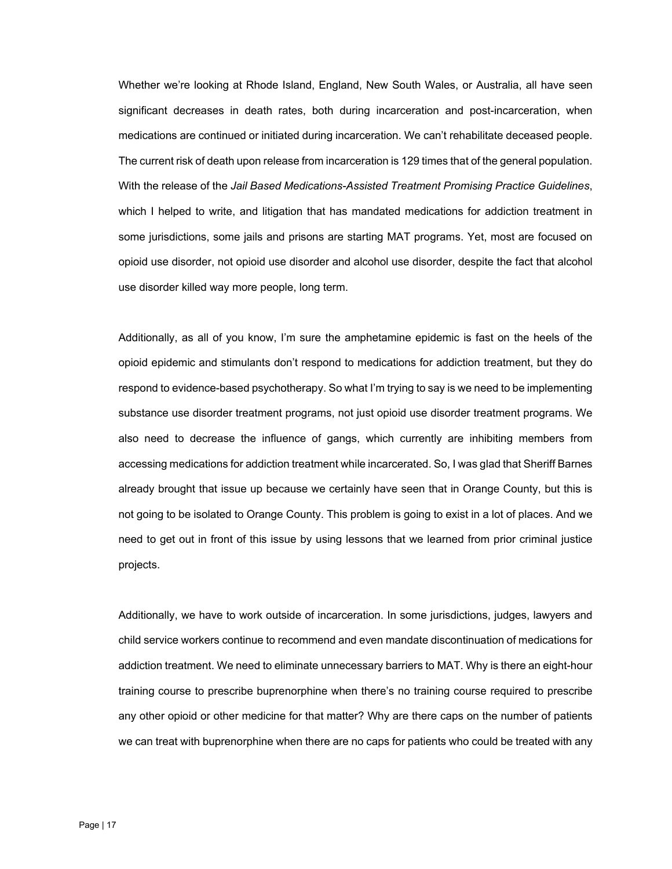Whether we're looking at Rhode Island, England, New South Wales, or Australia, all have seen significant decreases in death rates, both during incarceration and post-incarceration, when medications are continued or initiated during incarceration. We can't rehabilitate deceased people. The current risk of death upon release from incarceration is 129 times that of the general population. With the release of the *Jail Based Medications-Assisted Treatment Promising Practice Guidelines*, which I helped to write, and litigation that has mandated medications for addiction treatment in some jurisdictions, some jails and prisons are starting MAT programs. Yet, most are focused on opioid use disorder, not opioid use disorder and alcohol use disorder, despite the fact that alcohol use disorder killed way more people, long term.

Additionally, as all of you know, I'm sure the amphetamine epidemic is fast on the heels of the opioid epidemic and stimulants don't respond to medications for addiction treatment, but they do respond to evidence-based psychotherapy. So what I'm trying to say is we need to be implementing substance use disorder treatment programs, not just opioid use disorder treatment programs. We also need to decrease the influence of gangs, which currently are inhibiting members from accessing medications for addiction treatment while incarcerated. So, I was glad that Sheriff Barnes already brought that issue up because we certainly have seen that in Orange County, but this is not going to be isolated to Orange County. This problem is going to exist in a lot of places. And we need to get out in front of this issue by using lessons that we learned from prior criminal justice projects.

Additionally, we have to work outside of incarceration. In some jurisdictions, judges, lawyers and child service workers continue to recommend and even mandate discontinuation of medications for addiction treatment. We need to eliminate unnecessary barriers to MAT. Why is there an eight-hour training course to prescribe buprenorphine when there's no training course required to prescribe any other opioid or other medicine for that matter? Why are there caps on the number of patients we can treat with buprenorphine when there are no caps for patients who could be treated with any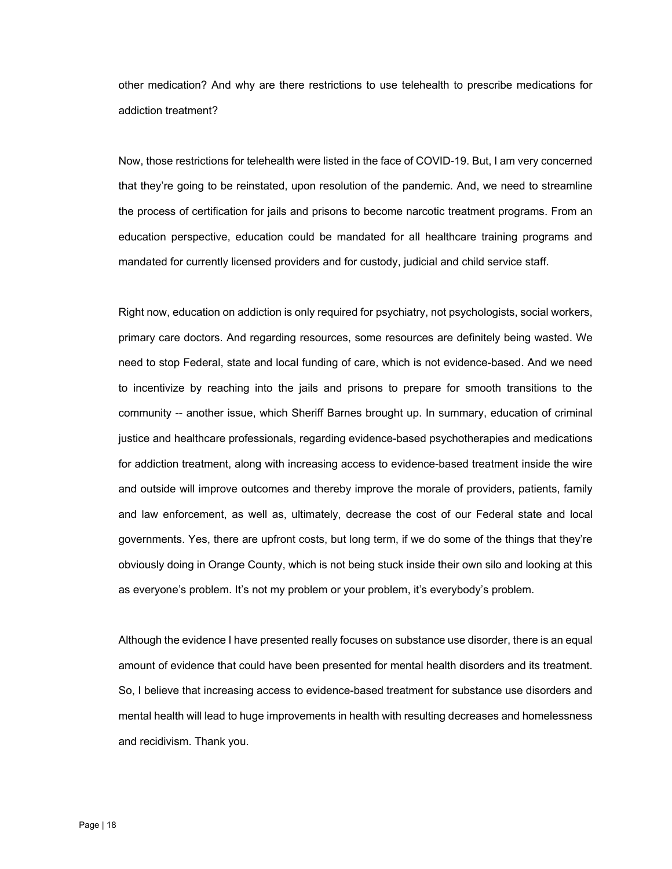other medication? And why are there restrictions to use telehealth to prescribe medications for addiction treatment?

 education perspective, education could be mandated for all healthcare training programs and Now, those restrictions for telehealth were listed in the face of COVID-19. But, I am very concerned that they're going to be reinstated, upon resolution of the pandemic. And, we need to streamline the process of certification for jails and prisons to become narcotic treatment programs. From an mandated for currently licensed providers and for custody, judicial and child service staff.

Right now, education on addiction is only required for psychiatry, not psychologists, social workers, primary care doctors. And regarding resources, some resources are definitely being wasted. We need to stop Federal, state and local funding of care, which is not evidence-based. And we need to incentivize by reaching into the jails and prisons to prepare for smooth transitions to the community -- another issue, which Sheriff Barnes brought up. In summary, education of criminal justice and healthcare professionals, regarding evidence-based psychotherapies and medications for addiction treatment, along with increasing access to evidence-based treatment inside the wire and outside will improve outcomes and thereby improve the morale of providers, patients, family and law enforcement, as well as, ultimately, decrease the cost of our Federal state and local governments. Yes, there are upfront costs, but long term, if we do some of the things that they're obviously doing in Orange County, which is not being stuck inside their own silo and looking at this as everyone's problem. It's not my problem or your problem, it's everybody's problem.

Although the evidence I have presented really focuses on substance use disorder, there is an equal amount of evidence that could have been presented for mental health disorders and its treatment. So, I believe that increasing access to evidence-based treatment for substance use disorders and mental health will lead to huge improvements in health with resulting decreases and homelessness and recidivism. Thank you.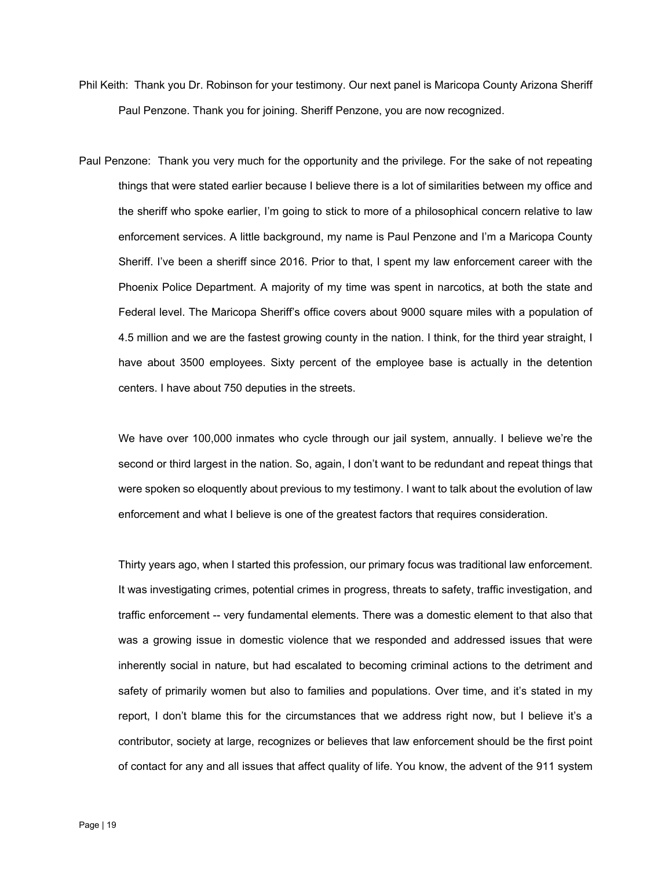- Phil Keith: Thank you Dr. Robinson for your testimony. Our next panel is Maricopa County Arizona Sheriff Paul Penzone. Thank you for joining. Sheriff Penzone, you are now recognized.
- Paul Penzone: Thank you very much for the opportunity and the privilege. For the sake of not repeating things that were stated earlier because I believe there is a lot of similarities between my office and the sheriff who spoke earlier, I'm going to stick to more of a philosophical concern relative to law enforcement services. A little background, my name is Paul Penzone and I'm a Maricopa County Sheriff. I've been a sheriff since 2016. Prior to that, I spent my law enforcement career with the Phoenix Police Department. A majority of my time was spent in narcotics, at both the state and Federal level. The Maricopa Sheriff's office covers about 9000 square miles with a population of 4.5 million and we are the fastest growing county in the nation. I think, for the third year straight, I have about 3500 employees. Sixty percent of the employee base is actually in the detention centers. I have about 750 deputies in the streets.

We have over 100,000 inmates who cycle through our jail system, annually. I believe we're the second or third largest in the nation. So, again, I don't want to be redundant and repeat things that were spoken so eloquently about previous to my testimony. I want to talk about the evolution of law enforcement and what I believe is one of the greatest factors that requires consideration.

Thirty years ago, when I started this profession, our primary focus was traditional law enforcement. It was investigating crimes, potential crimes in progress, threats to safety, traffic investigation, and traffic enforcement -- very fundamental elements. There was a domestic element to that also that was a growing issue in domestic violence that we responded and addressed issues that were inherently social in nature, but had escalated to becoming criminal actions to the detriment and safety of primarily women but also to families and populations. Over time, and it's stated in my report, I don't blame this for the circumstances that we address right now, but I believe it's a contributor, society at large, recognizes or believes that law enforcement should be the first point of contact for any and all issues that affect quality of life. You know, the advent of the 911 system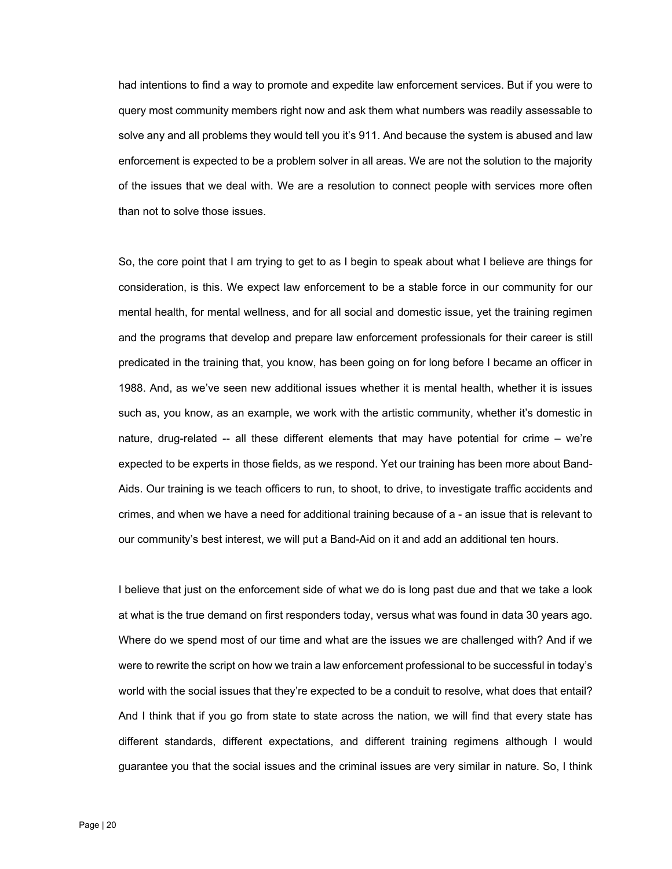had intentions to find a way to promote and expedite law enforcement services. But if you were to query most community members right now and ask them what numbers was readily assessable to solve any and all problems they would tell you it's 911. And because the system is abused and law enforcement is expected to be a problem solver in all areas. We are not the solution to the majority of the issues that we deal with. We are a resolution to connect people with services more often than not to solve those issues.

So, the core point that I am trying to get to as I begin to speak about what I believe are things for consideration, is this. We expect law enforcement to be a stable force in our community for our mental health, for mental wellness, and for all social and domestic issue, yet the training regimen and the programs that develop and prepare law enforcement professionals for their career is still predicated in the training that, you know, has been going on for long before I became an officer in 1988. And, as we've seen new additional issues whether it is mental health, whether it is issues such as, you know, as an example, we work with the artistic community, whether it's domestic in nature, drug-related -- all these different elements that may have potential for crime – we're expected to be experts in those fields, as we respond. Yet our training has been more about Band-Aids. Our training is we teach officers to run, to shoot, to drive, to investigate traffic accidents and crimes, and when we have a need for additional training because of a - an issue that is relevant to our community's best interest, we will put a Band-Aid on it and add an additional ten hours.

I believe that just on the enforcement side of what we do is long past due and that we take a look at what is the true demand on first responders today, versus what was found in data 30 years ago. Where do we spend most of our time and what are the issues we are challenged with? And if we were to rewrite the script on how we train a law enforcement professional to be successful in today's world with the social issues that they're expected to be a conduit to resolve, what does that entail? And I think that if you go from state to state across the nation, we will find that every state has different standards, different expectations, and different training regimens although I would guarantee you that the social issues and the criminal issues are very similar in nature. So, I think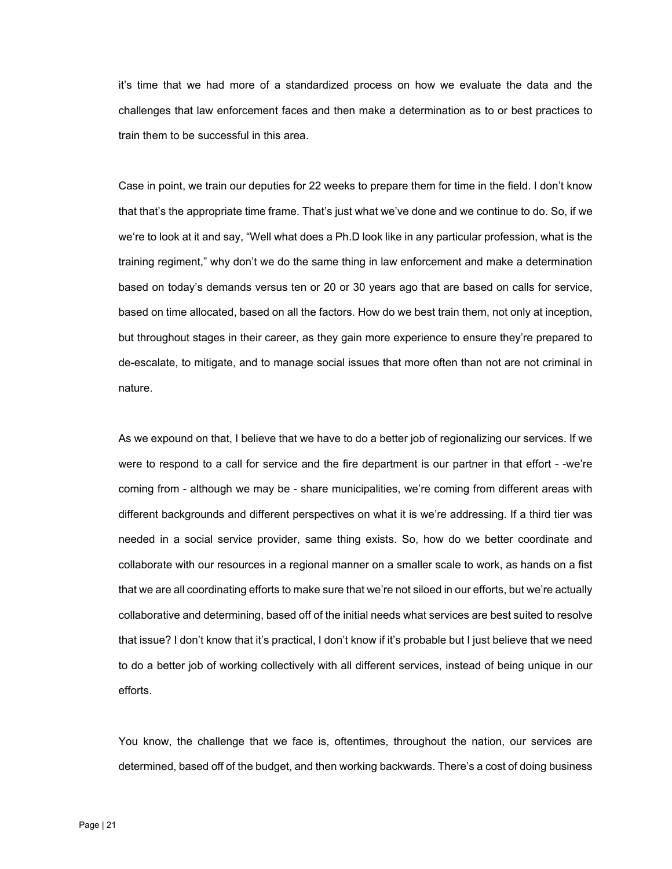it's time that we had more of a standardized process on how we evaluate the data and the challenges that law enforcement faces and then make a determination as to or best practices to train them to be successful in this area.

Case in point, we train our deputies for 22 weeks to prepare them for time in the field. I don't know that that's the appropriate time frame. That's just what we've done and we continue to do. So, if we we're to look at it and say, "Well what does a Ph.D look like in any particular profession, what is the training regiment," why don't we do the same thing in law enforcement and make a determination based on today's demands versus ten or 20 or 30 years ago that are based on calls for service, based on time allocated, based on all the factors. How do we best train them, not only at inception, but throughout stages in their career, as they gain more experience to ensure they're prepared to de-escalate, to mitigate, and to manage social issues that more often than not are not criminal in nature.

As we expound on that, I believe that we have to do a better job of regionalizing our services. If we were to respond to a call for service and the fire department is our partner in that effort - -we're coming from - although we may be - share municipalities, we're coming from different areas with different backgrounds and different perspectives on what it is we're addressing. If a third tier was needed in a social service provider, same thing exists. So, how do we better coordinate and collaborate with our resources in a regional manner on a smaller scale to work, as hands on a fist that we are all coordinating efforts to make sure that we're not siloed in our efforts, but we're actually collaborative and determining, based off of the initial needs what services are best suited to resolve that issue? I don't know that it's practical, I don't know if it's probable but I just believe that we need to do a better job of working collectively with all different services, instead of being unique in our efforts.

You know, the challenge that we face is, oftentimes, throughout the nation, our services are determined, based off of the budget, and then working backwards. There's a cost of doing business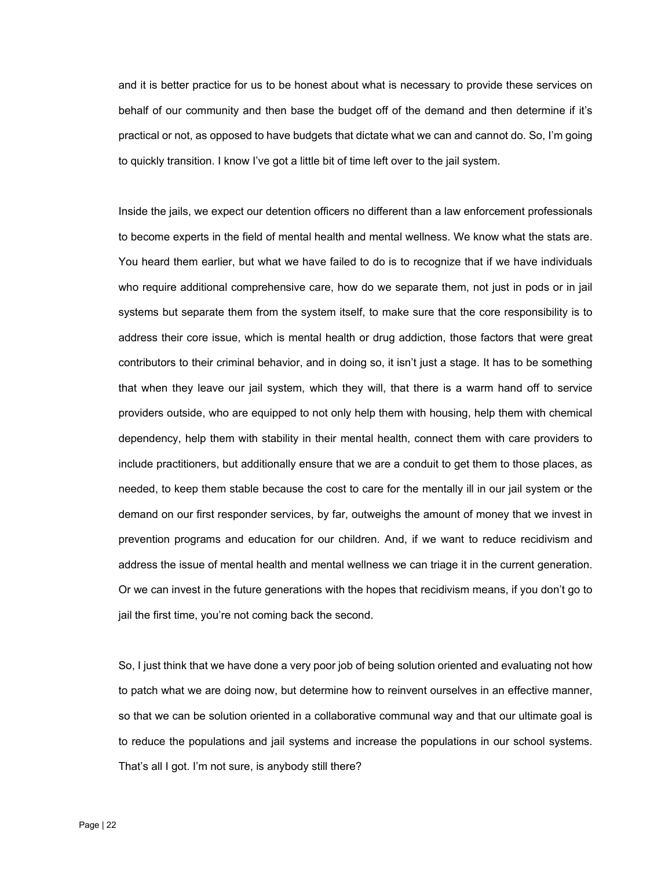and it is better practice for us to be honest about what is necessary to provide these services on behalf of our community and then base the budget off of the demand and then determine if it's practical or not, as opposed to have budgets that dictate what we can and cannot do. So, I'm going to quickly transition. I know I've got a little bit of time left over to the jail system.

Inside the jails, we expect our detention officers no different than a law enforcement professionals to become experts in the field of mental health and mental wellness. We know what the stats are. You heard them earlier, but what we have failed to do is to recognize that if we have individuals who require additional comprehensive care, how do we separate them, not just in pods or in jail systems but separate them from the system itself, to make sure that the core responsibility is to address their core issue, which is mental health or drug addiction, those factors that were great contributors to their criminal behavior, and in doing so, it isn't just a stage. It has to be something that when they leave our jail system, which they will, that there is a warm hand off to service providers outside, who are equipped to not only help them with housing, help them with chemical dependency, help them with stability in their mental health, connect them with care providers to include practitioners, but additionally ensure that we are a conduit to get them to those places, as needed, to keep them stable because the cost to care for the mentally ill in our jail system or the demand on our first responder services, by far, outweighs the amount of money that we invest in prevention programs and education for our children. And, if we want to reduce recidivism and address the issue of mental health and mental wellness we can triage it in the current generation. Or we can invest in the future generations with the hopes that recidivism means, if you don't go to jail the first time, you're not coming back the second.

So, I just think that we have done a very poor job of being solution oriented and evaluating not how to patch what we are doing now, but determine how to reinvent ourselves in an effective manner, so that we can be solution oriented in a collaborative communal way and that our ultimate goal is to reduce the populations and jail systems and increase the populations in our school systems. That's all I got. I'm not sure, is anybody still there?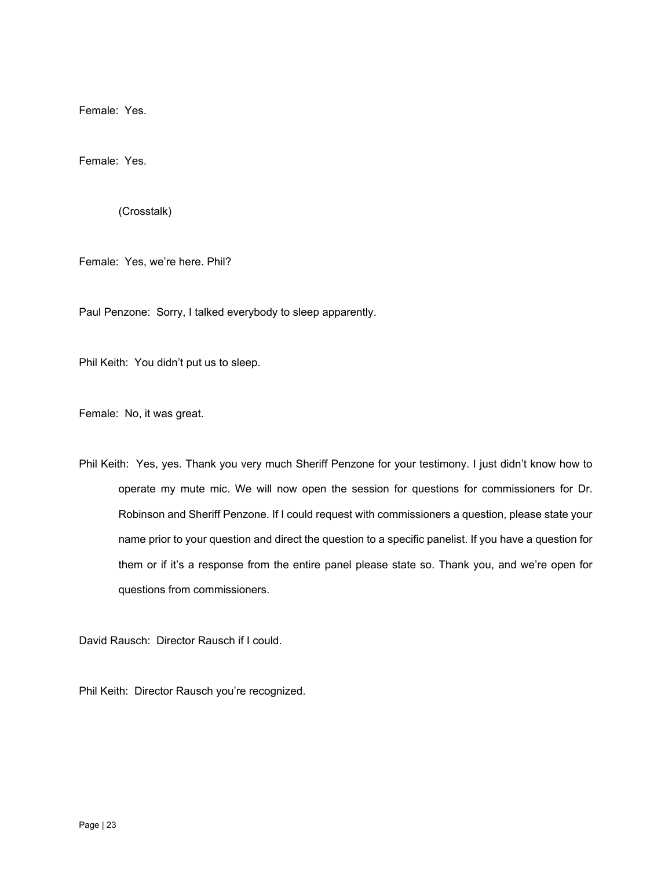Female: Yes.

Female: Yes.

(Crosstalk)

Female: Yes, we're here. Phil?

Paul Penzone: Sorry, I talked everybody to sleep apparently.

Phil Keith: You didn't put us to sleep.

Female: No, it was great.

Phil Keith: Yes, yes. Thank you very much Sheriff Penzone for your testimony. I just didn't know how to operate my mute mic. We will now open the session for questions for commissioners for Dr. Robinson and Sheriff Penzone. If I could request with commissioners a question, please state your name prior to your question and direct the question to a specific panelist. If you have a question for them or if it's a response from the entire panel please state so. Thank you, and we're open for questions from commissioners.

David Rausch: Director Rausch if I could.

Phil Keith: Director Rausch you're recognized.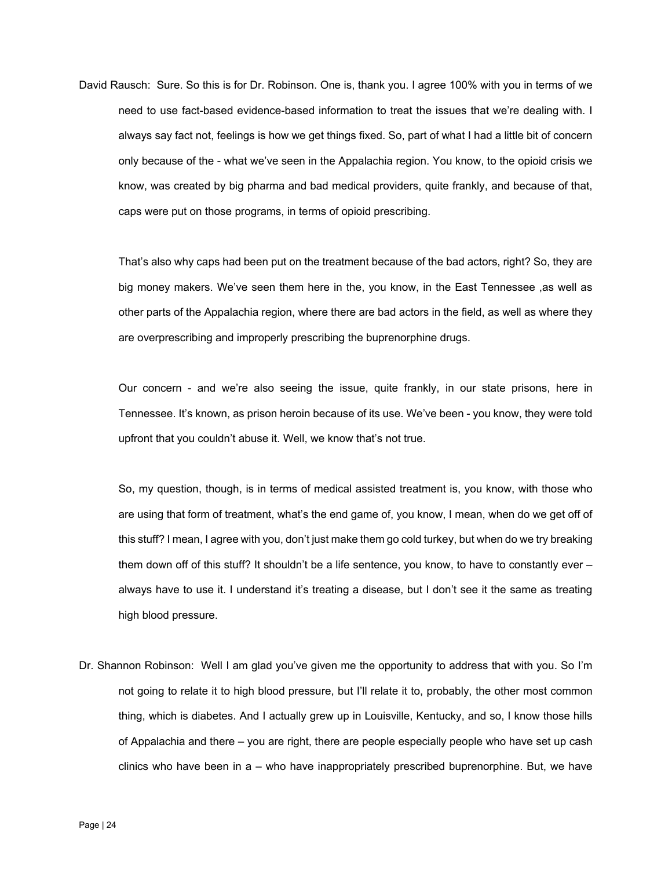David Rausch: Sure. So this is for Dr. Robinson. One is, thank you. I agree 100% with you in terms of we need to use fact-based evidence-based information to treat the issues that we're dealing with. I always say fact not, feelings is how we get things fixed. So, part of what I had a little bit of concern only because of the - what we've seen in the Appalachia region. You know, to the opioid crisis we know, was created by big pharma and bad medical providers, quite frankly, and because of that, caps were put on those programs, in terms of opioid prescribing.

That's also why caps had been put on the treatment because of the bad actors, right? So, they are big money makers. We've seen them here in the, you know, in the East Tennessee ,as well as other parts of the Appalachia region, where there are bad actors in the field, as well as where they are overprescribing and improperly prescribing the buprenorphine drugs.

Our concern - and we're also seeing the issue, quite frankly, in our state prisons, here in Tennessee. It's known, as prison heroin because of its use. We've been - you know, they were told upfront that you couldn't abuse it. Well, we know that's not true.

So, my question, though, is in terms of medical assisted treatment is, you know, with those who are using that form of treatment, what's the end game of, you know, I mean, when do we get off of this stuff? I mean, I agree with you, don't just make them go cold turkey, but when do we try breaking them down off of this stuff? It shouldn't be a life sentence, you know, to have to constantly ever – always have to use it. I understand it's treating a disease, but I don't see it the same as treating high blood pressure.

Dr. Shannon Robinson: Well I am glad you've given me the opportunity to address that with you. So I'm not going to relate it to high blood pressure, but I'll relate it to, probably, the other most common thing, which is diabetes. And I actually grew up in Louisville, Kentucky, and so, I know those hills of Appalachia and there – you are right, there are people especially people who have set up cash clinics who have been in a – who have inappropriately prescribed buprenorphine. But, we have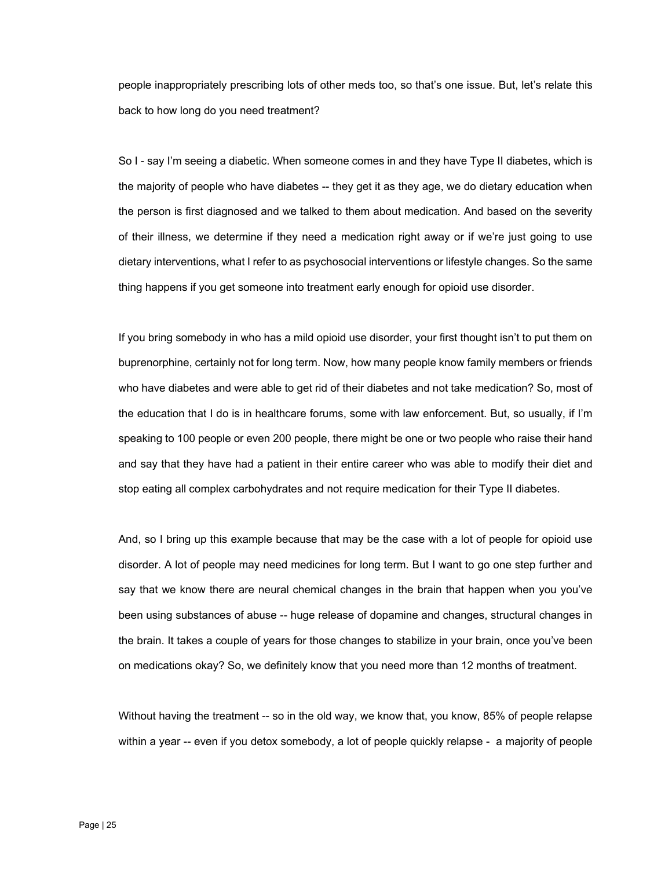people inappropriately prescribing lots of other meds too, so that's one issue. But, let's relate this back to how long do you need treatment?

So I - say I'm seeing a diabetic. When someone comes in and they have Type II diabetes, which is the majority of people who have diabetes -- they get it as they age, we do dietary education when the person is first diagnosed and we talked to them about medication. And based on the severity of their illness, we determine if they need a medication right away or if we're just going to use dietary interventions, what I refer to as psychosocial interventions or lifestyle changes. So the same thing happens if you get someone into treatment early enough for opioid use disorder.

If you bring somebody in who has a mild opioid use disorder, your first thought isn't to put them on buprenorphine, certainly not for long term. Now, how many people know family members or friends who have diabetes and were able to get rid of their diabetes and not take medication? So, most of the education that I do is in healthcare forums, some with law enforcement. But, so usually, if I'm speaking to 100 people or even 200 people, there might be one or two people who raise their hand and say that they have had a patient in their entire career who was able to modify their diet and stop eating all complex carbohydrates and not require medication for their Type II diabetes.

And, so I bring up this example because that may be the case with a lot of people for opioid use disorder. A lot of people may need medicines for long term. But I want to go one step further and say that we know there are neural chemical changes in the brain that happen when you you've been using substances of abuse -- huge release of dopamine and changes, structural changes in the brain. It takes a couple of years for those changes to stabilize in your brain, once you've been on medications okay? So, we definitely know that you need more than 12 months of treatment.

Without having the treatment -- so in the old way, we know that, you know, 85% of people relapse within a year -- even if you detox somebody, a lot of people quickly relapse - a majority of people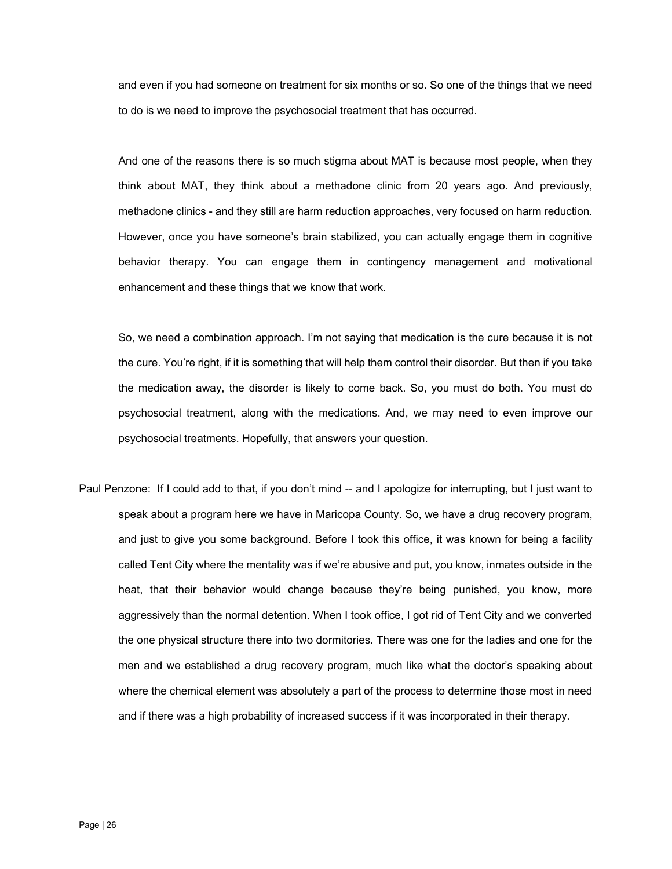and even if you had someone on treatment for six months or so. So one of the things that we need to do is we need to improve the psychosocial treatment that has occurred.

And one of the reasons there is so much stigma about MAT is because most people, when they think about MAT, they think about a methadone clinic from 20 years ago. And previously, methadone clinics - and they still are harm reduction approaches, very focused on harm reduction. However, once you have someone's brain stabilized, you can actually engage them in cognitive behavior therapy. You can engage them in contingency management and motivational enhancement and these things that we know that work.

So, we need a combination approach. I'm not saying that medication is the cure because it is not the cure. You're right, if it is something that will help them control their disorder. But then if you take the medication away, the disorder is likely to come back. So, you must do both. You must do psychosocial treatment, along with the medications. And, we may need to even improve our psychosocial treatments. Hopefully, that answers your question.

Paul Penzone: If I could add to that, if you don't mind -- and I apologize for interrupting, but I just want to speak about a program here we have in Maricopa County. So, we have a drug recovery program, and just to give you some background. Before I took this office, it was known for being a facility called Tent City where the mentality was if we're abusive and put, you know, inmates outside in the heat, that their behavior would change because they're being punished, you know, more aggressively than the normal detention. When I took office, I got rid of Tent City and we converted the one physical structure there into two dormitories. There was one for the ladies and one for the men and we established a drug recovery program, much like what the doctor's speaking about where the chemical element was absolutely a part of the process to determine those most in need and if there was a high probability of increased success if it was incorporated in their therapy.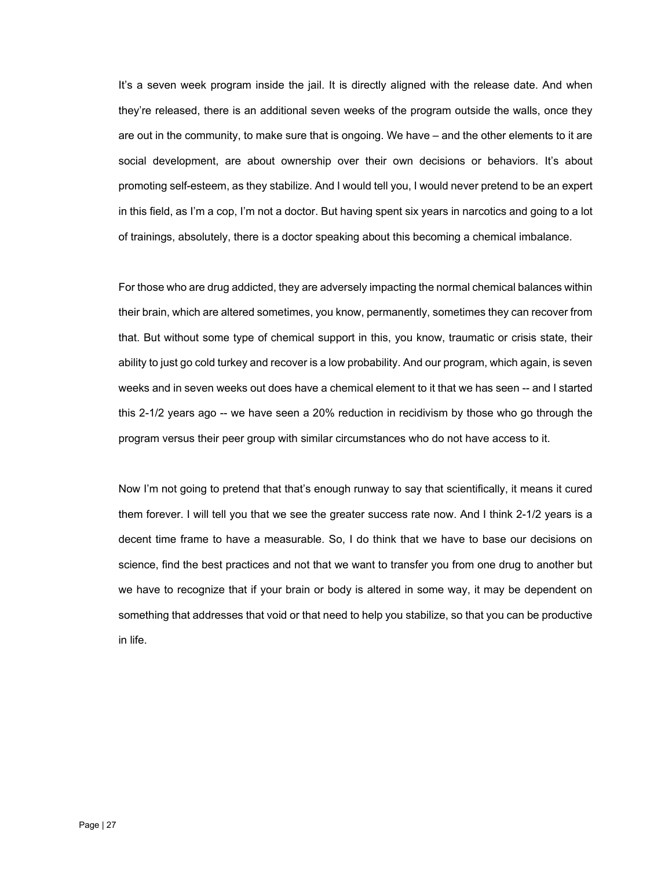It's a seven week program inside the jail. It is directly aligned with the release date. And when they're released, there is an additional seven weeks of the program outside the walls, once they are out in the community, to make sure that is ongoing. We have – and the other elements to it are social development, are about ownership over their own decisions or behaviors. It's about promoting self-esteem, as they stabilize. And I would tell you, I would never pretend to be an expert in this field, as I'm a cop, I'm not a doctor. But having spent six years in narcotics and going to a lot of trainings, absolutely, there is a doctor speaking about this becoming a chemical imbalance.

For those who are drug addicted, they are adversely impacting the normal chemical balances within their brain, which are altered sometimes, you know, permanently, sometimes they can recover from that. But without some type of chemical support in this, you know, traumatic or crisis state, their ability to just go cold turkey and recover is a low probability. And our program, which again, is seven weeks and in seven weeks out does have a chemical element to it that we has seen -- and I started this 2-1/2 years ago -- we have seen a 20% reduction in recidivism by those who go through the program versus their peer group with similar circumstances who do not have access to it.

Now I'm not going to pretend that that's enough runway to say that scientifically, it means it cured them forever. I will tell you that we see the greater success rate now. And I think 2-1/2 years is a decent time frame to have a measurable. So, I do think that we have to base our decisions on science, find the best practices and not that we want to transfer you from one drug to another but we have to recognize that if your brain or body is altered in some way, it may be dependent on something that addresses that void or that need to help you stabilize, so that you can be productive in life.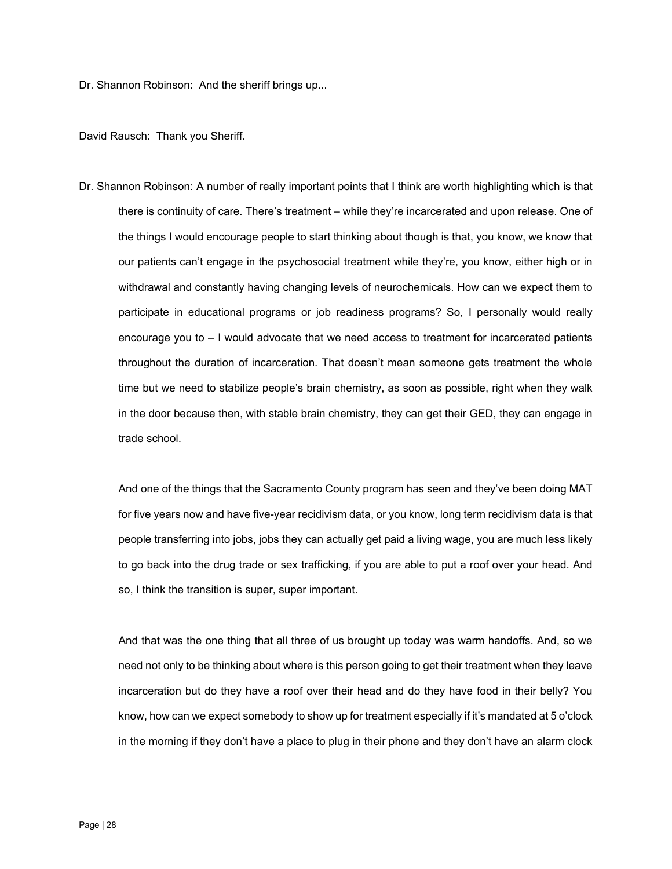Dr. Shannon Robinson: And the sheriff brings up...

David Rausch: Thank you Sheriff.

Dr. Shannon Robinson: A number of really important points that I think are worth highlighting which is that there is continuity of care. There's treatment – while they're incarcerated and upon release. One of the things I would encourage people to start thinking about though is that, you know, we know that our patients can't engage in the psychosocial treatment while they're, you know, either high or in withdrawal and constantly having changing levels of neurochemicals. How can we expect them to participate in educational programs or job readiness programs? So, I personally would really encourage you to – I would advocate that we need access to treatment for incarcerated patients throughout the duration of incarceration. That doesn't mean someone gets treatment the whole time but we need to stabilize people's brain chemistry, as soon as possible, right when they walk in the door because then, with stable brain chemistry, they can get their GED, they can engage in trade school.

And one of the things that the Sacramento County program has seen and they've been doing MAT for five years now and have five-year recidivism data, or you know, long term recidivism data is that people transferring into jobs, jobs they can actually get paid a living wage, you are much less likely to go back into the drug trade or sex trafficking, if you are able to put a roof over your head. And so, I think the transition is super, super important.

And that was the one thing that all three of us brought up today was warm handoffs. And, so we need not only to be thinking about where is this person going to get their treatment when they leave incarceration but do they have a roof over their head and do they have food in their belly? You know, how can we expect somebody to show up for treatment especially if it's mandated at 5 o'clock in the morning if they don't have a place to plug in their phone and they don't have an alarm clock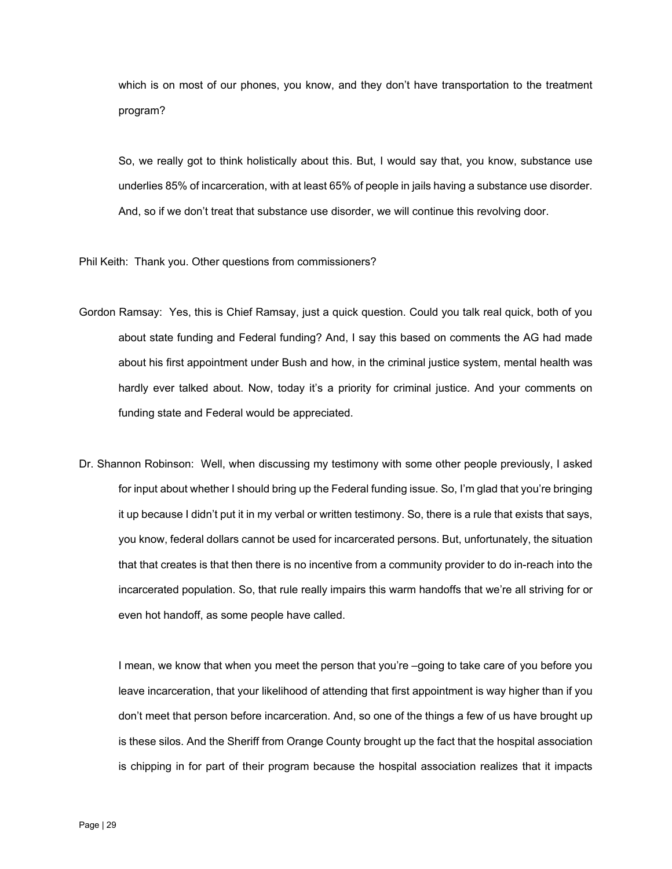which is on most of our phones, you know, and they don't have transportation to the treatment program?

So, we really got to think holistically about this. But, I would say that, you know, substance use underlies 85% of incarceration, with at least 65% of people in jails having a substance use disorder. And, so if we don't treat that substance use disorder, we will continue this revolving door.

Phil Keith: Thank you. Other questions from commissioners?

- Gordon Ramsay: Yes, this is Chief Ramsay, just a quick question. Could you talk real quick, both of you about state funding and Federal funding? And, I say this based on comments the AG had made about his first appointment under Bush and how, in the criminal justice system, mental health was hardly ever talked about. Now, today it's a priority for criminal justice. And your comments on funding state and Federal would be appreciated.
- that that creates is that then there is no incentive from a community provider to do in-reach into the Dr. Shannon Robinson: Well, when discussing my testimony with some other people previously, I asked for input about whether I should bring up the Federal funding issue. So, I'm glad that you're bringing it up because I didn't put it in my verbal or written testimony. So, there is a rule that exists that says, you know, federal dollars cannot be used for incarcerated persons. But, unfortunately, the situation incarcerated population. So, that rule really impairs this warm handoffs that we're all striving for or even hot handoff, as some people have called.

I mean, we know that when you meet the person that you're –going to take care of you before you leave incarceration, that your likelihood of attending that first appointment is way higher than if you don't meet that person before incarceration. And, so one of the things a few of us have brought up is these silos. And the Sheriff from Orange County brought up the fact that the hospital association is chipping in for part of their program because the hospital association realizes that it impacts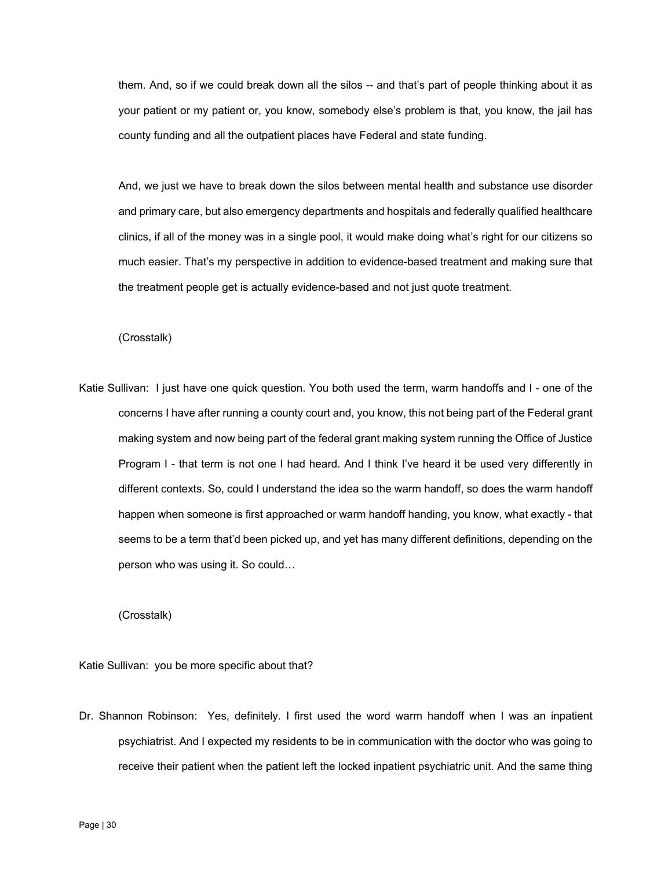them. And, so if we could break down all the silos -- and that's part of people thinking about it as your patient or my patient or, you know, somebody else's problem is that, you know, the jail has county funding and all the outpatient places have Federal and state funding.

And, we just we have to break down the silos between mental health and substance use disorder and primary care, but also emergency departments and hospitals and federally qualified healthcare clinics, if all of the money was in a single pool, it would make doing what's right for our citizens so much easier. That's my perspective in addition to evidence-based treatment and making sure that the treatment people get is actually evidence-based and not just quote treatment.

## (Crosstalk)

Katie Sullivan: I just have one quick question. You both used the term, warm handoffs and I - one of the concerns I have after running a county court and, you know, this not being part of the Federal grant making system and now being part of the federal grant making system running the Office of Justice Program I - that term is not one I had heard. And I think I've heard it be used very differently in different contexts. So, could I understand the idea so the warm handoff, so does the warm handoff happen when someone is first approached or warm handoff handing, you know, what exactly - that seems to be a term that'd been picked up, and yet has many different definitions, depending on the person who was using it. So could…

(Crosstalk)

Katie Sullivan: you be more specific about that?

Dr. Shannon Robinson: Yes, definitely. I first used the word warm handoff when I was an inpatient psychiatrist. And I expected my residents to be in communication with the doctor who was going to receive their patient when the patient left the locked inpatient psychiatric unit. And the same thing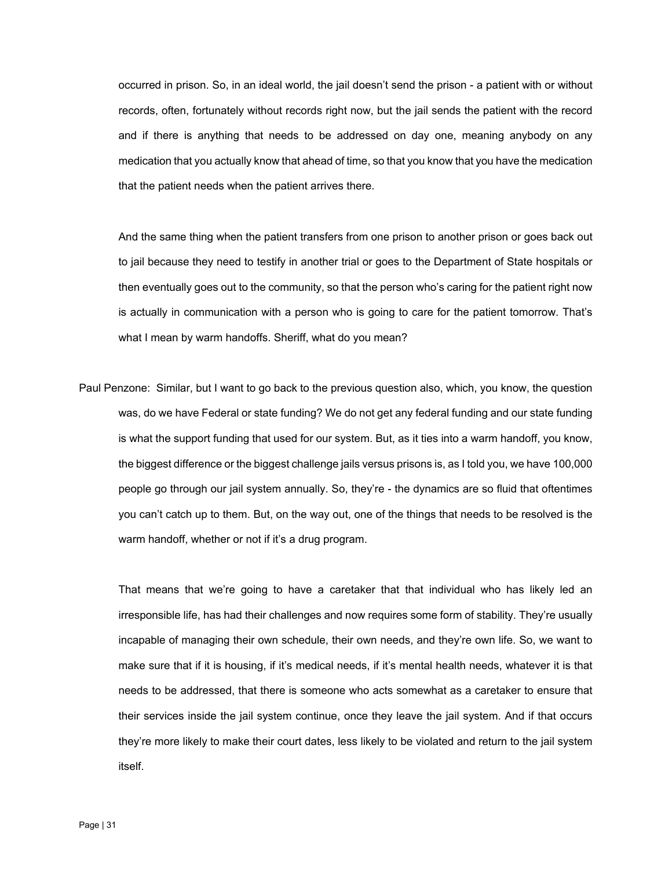occurred in prison. So, in an ideal world, the jail doesn't send the prison - a patient with or without records, often, fortunately without records right now, but the jail sends the patient with the record and if there is anything that needs to be addressed on day one, meaning anybody on any medication that you actually know that ahead of time, so that you know that you have the medication that the patient needs when the patient arrives there.

And the same thing when the patient transfers from one prison to another prison or goes back out to jail because they need to testify in another trial or goes to the Department of State hospitals or then eventually goes out to the community, so that the person who's caring for the patient right now is actually in communication with a person who is going to care for the patient tomorrow. That's what I mean by warm handoffs. Sheriff, what do you mean?

Paul Penzone: Similar, but I want to go back to the previous question also, which, you know, the question was, do we have Federal or state funding? We do not get any federal funding and our state funding is what the support funding that used for our system. But, as it ties into a warm handoff, you know, the biggest difference or the biggest challenge jails versus prisons is, as I told you, we have 100,000 people go through our jail system annually. So, they're - the dynamics are so fluid that oftentimes you can't catch up to them. But, on the way out, one of the things that needs to be resolved is the warm handoff, whether or not if it's a drug program.

That means that we're going to have a caretaker that that individual who has likely led an irresponsible life, has had their challenges and now requires some form of stability. They're usually incapable of managing their own schedule, their own needs, and they're own life. So, we want to make sure that if it is housing, if it's medical needs, if it's mental health needs, whatever it is that needs to be addressed, that there is someone who acts somewhat as a caretaker to ensure that their services inside the jail system continue, once they leave the jail system. And if that occurs they're more likely to make their court dates, less likely to be violated and return to the jail system itself.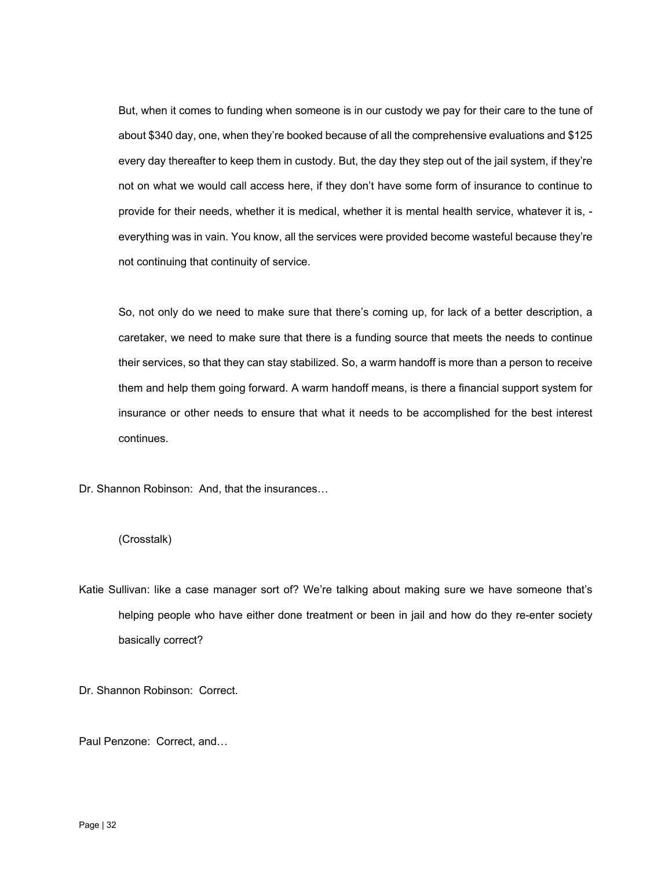But, when it comes to funding when someone is in our custody we pay for their care to the tune of about \$340 day, one, when they're booked because of all the comprehensive evaluations and \$125 every day thereafter to keep them in custody. But, the day they step out of the jail system, if they're not on what we would call access here, if they don't have some form of insurance to continue to provide for their needs, whether it is medical, whether it is mental health service, whatever it is, everything was in vain. You know, all the services were provided become wasteful because they're not continuing that continuity of service.

So, not only do we need to make sure that there's coming up, for lack of a better description, a caretaker, we need to make sure that there is a funding source that meets the needs to continue their services, so that they can stay stabilized. So, a warm handoff is more than a person to receive them and help them going forward. A warm handoff means, is there a financial support system for insurance or other needs to ensure that what it needs to be accomplished for the best interest continues.

Dr. Shannon Robinson: And, that the insurances…

## (Crosstalk)

Katie Sullivan: like a case manager sort of? We're talking about making sure we have someone that's helping people who have either done treatment or been in jail and how do they re-enter society basically correct?

Dr. Shannon Robinson: Correct.

Paul Penzone: Correct, and…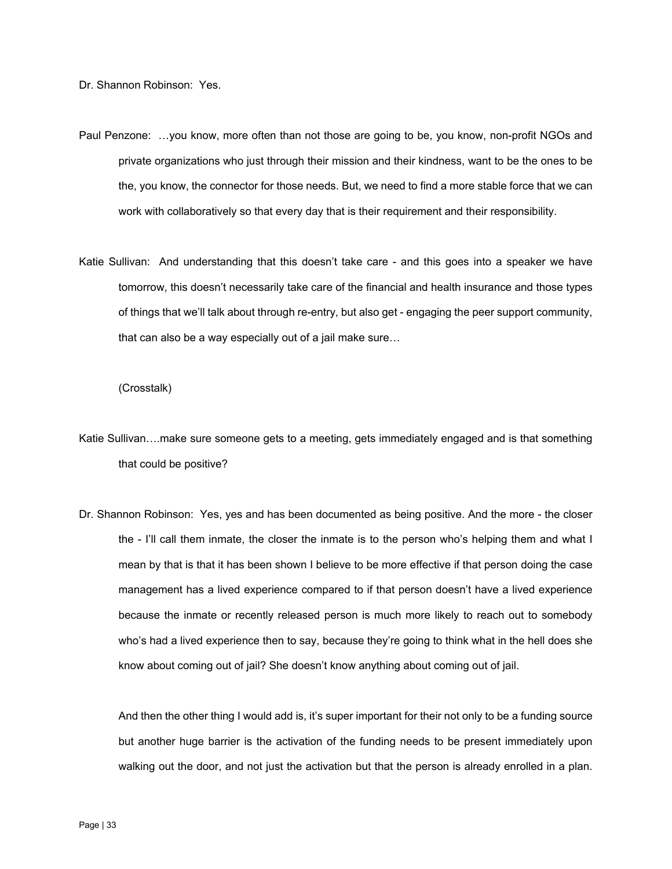Dr. Shannon Robinson: Yes.

- Paul Penzone: …you know, more often than not those are going to be, you know, non-profit NGOs and private organizations who just through their mission and their kindness, want to be the ones to be the, you know, the connector for those needs. But, we need to find a more stable force that we can work with collaboratively so that every day that is their requirement and their responsibility.
- Katie Sullivan: And understanding that this doesn't take care and this goes into a speaker we have tomorrow, this doesn't necessarily take care of the financial and health insurance and those types of things that we'll talk about through re-entry, but also get - engaging the peer support community, that can also be a way especially out of a jail make sure…

## (Crosstalk)

- Katie Sullivan….make sure someone gets to a meeting, gets immediately engaged and is that something that could be positive?
- who's had a lived experience then to say, because they're going to think what in the hell does she Dr. Shannon Robinson: Yes, yes and has been documented as being positive. And the more - the closer the - I'll call them inmate, the closer the inmate is to the person who's helping them and what I mean by that is that it has been shown I believe to be more effective if that person doing the case management has a lived experience compared to if that person doesn't have a lived experience because the inmate or recently released person is much more likely to reach out to somebody know about coming out of jail? She doesn't know anything about coming out of jail.

And then the other thing I would add is, it's super important for their not only to be a funding source but another huge barrier is the activation of the funding needs to be present immediately upon walking out the door, and not just the activation but that the person is already enrolled in a plan.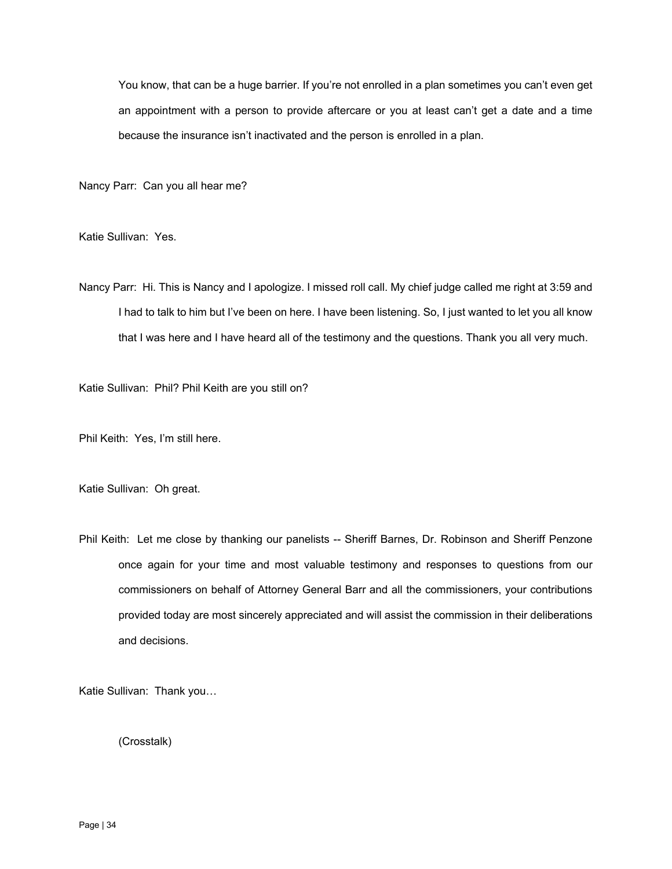You know, that can be a huge barrier. If you're not enrolled in a plan sometimes you can't even get an appointment with a person to provide aftercare or you at least can't get a date and a time because the insurance isn't inactivated and the person is enrolled in a plan.

Nancy Parr: Can you all hear me?

Katie Sullivan: Yes.

Nancy Parr: Hi. This is Nancy and I apologize. I missed roll call. My chief judge called me right at 3:59 and I had to talk to him but I've been on here. I have been listening. So, I just wanted to let you all know that I was here and I have heard all of the testimony and the questions. Thank you all very much.

Katie Sullivan: Phil? Phil Keith are you still on?

Phil Keith: Yes, I'm still here.

Katie Sullivan: Oh great.

Phil Keith: Let me close by thanking our panelists -- Sheriff Barnes, Dr. Robinson and Sheriff Penzone once again for your time and most valuable testimony and responses to questions from our commissioners on behalf of Attorney General Barr and all the commissioners, your contributions provided today are most sincerely appreciated and will assist the commission in their deliberations and decisions.

Katie Sullivan: Thank you…

(Crosstalk)